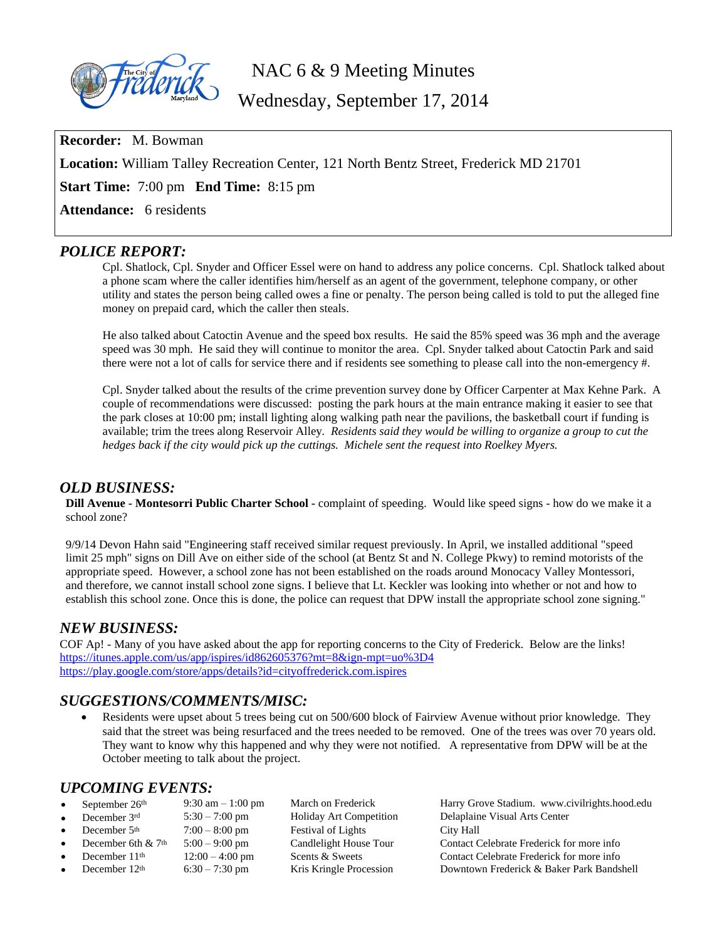

NAC 6 & 9 Meeting Minutes

Wednesday, September 17, 2014

**Recorder:** M. Bowman **Location:** William Talley Recreation Center, 121 North Bentz Street, Frederick MD 21701 **Start Time:** 7:00 pm **End Time:** 8:15 pm **Attendance:** 6 residents

# *POLICE REPORT:*

Cpl. Shatlock, Cpl. Snyder and Officer Essel were on hand to address any police concerns. Cpl. Shatlock talked about a phone scam where the caller identifies him/herself as an agent of the government, telephone company, or other utility and states the person being called owes a fine or penalty. The person being called is told to put the alleged fine money on prepaid card, which the caller then steals.

He also talked about Catoctin Avenue and the speed box results. He said the 85% speed was 36 mph and the average speed was 30 mph. He said they will continue to monitor the area. Cpl. Snyder talked about Catoctin Park and said there were not a lot of calls for service there and if residents see something to please call into the non-emergency #.

Cpl. Snyder talked about the results of the crime prevention survey done by Officer Carpenter at Max Kehne Park. A couple of recommendations were discussed: posting the park hours at the main entrance making it easier to see that the park closes at 10:00 pm; install lighting along walking path near the pavilions, the basketball court if funding is available; trim the trees along Reservoir Alley*. Residents said they would be willing to organize a group to cut the hedges back if the city would pick up the cuttings. Michele sent the request into Roelkey Myers.*

## *OLD BUSINESS:*

**Dill Avenue - Montesorri Public Charter School -** complaint of speeding. Would like speed signs - how do we make it a school zone?

9/9/14 Devon Hahn said "Engineering staff received similar request previously. In April, we installed additional "speed limit 25 mph" signs on Dill Ave on either side of the school (at Bentz St and N. College Pkwy) to remind motorists of the appropriate speed. However, a school zone has not been established on the roads around Monocacy Valley Montessori, and therefore, we cannot install school zone signs. I believe that Lt. Keckler was looking into whether or not and how to establish this school zone. Once this is done, the police can request that DPW install the appropriate school zone signing."

## *NEW BUSINESS:*

COF Ap! - Many of you have asked about the app for reporting concerns to the City of Frederick. Below are the links! <https://itunes.apple.com/us/app/ispires/id862605376?mt=8&ign-mpt=uo%3D4> <https://play.google.com/store/apps/details?id=cityoffrederick.com.ispires>

# *SUGGESTIONS/COMMENTS/MISC:*

 Residents were upset about 5 trees being cut on 500/600 block of Fairview Avenue without prior knowledge. They said that the street was being resurfaced and the trees needed to be removed. One of the trees was over 70 years old. They want to know why this happened and why they were not notified. A representative from DPW will be at the October meeting to talk about the project.

# *UPCOMING EVENTS:*

| $\bullet$ | September 26 <sup>th</sup> | $9:30 \text{ am} - 1:00 \text{ pm}$ | March on Frederick             | Harry Grove Stadium. www.civilrights.hood.edu |
|-----------|----------------------------|-------------------------------------|--------------------------------|-----------------------------------------------|
| $\bullet$ | December 3rd               | $5:30 - 7:00$ pm                    | <b>Holiday Art Competition</b> | Delaplaine Visual Arts Center                 |
|           | • December $5th$           | $7:00 - 8:00$ pm                    | <b>Festival of Lights</b>      | City Hall                                     |
|           | • December 6th $& 7th$     | $5:00 - 9:00$ pm                    | Candlelight House Tour         | Contact Celebrate Frederick for more info     |
| $\bullet$ | December $11th$            | $12:00 - 4:00$ pm                   | Scents & Sweets                | Contact Celebrate Frederick for more info     |
| $\bullet$ | December 12th              | $6:30 - 7:30$ pm                    | Kris Kringle Procession        | Downtown Frederick & Baker Park Bandshell     |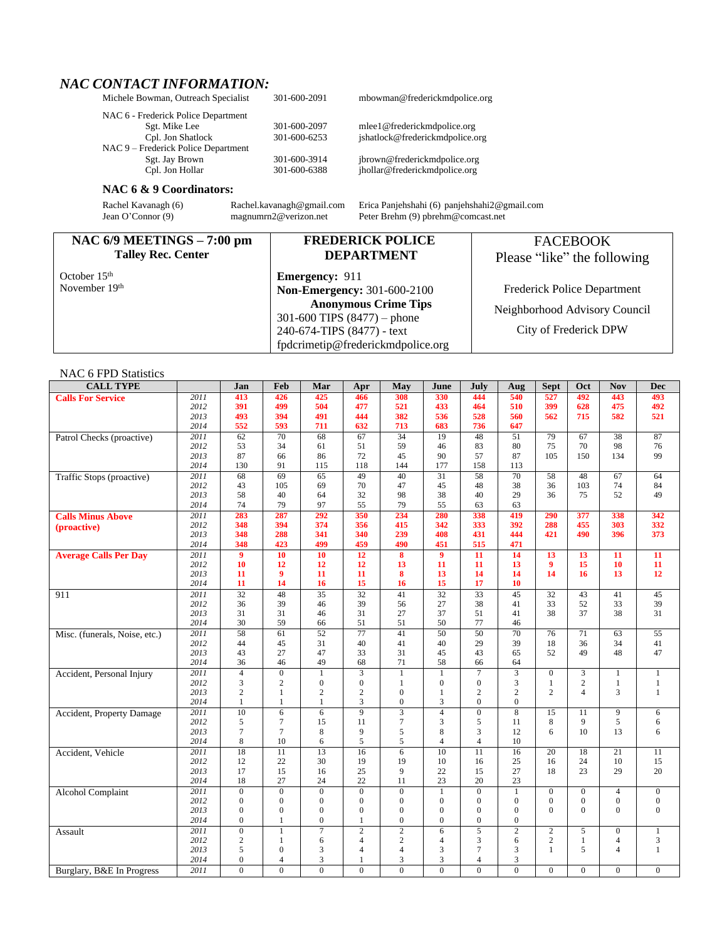### *NAC CONTACT INFORMATION:*

| Michèle Bowman, Quireach Specialist | 301-000-2091 |
|-------------------------------------|--------------|
| NAC 6 - Frederick Police Department |              |
| Sgt. Mike Lee                       | 301-600-2097 |
| Cpl. Jon Shatlock                   | 301-600-6253 |
| NAC 9 – Frederick Police Department |              |
| Sgt. Jay Brown                      | 301-600-3914 |
| Cpl. Jon Hollar                     | 301-600-6388 |
| NAC 6 & 9 Coordinators:             |              |

Rachel Kavanagh (6) [Rachel.kavanagh@gmail.com](mailto:Rachel.kavanagh@gmail.com) Erica Panjehshahi (6) [panjehshahi2@gmail.com](mailto:panjehshahi2@gmail.com) Jean O'Connor (9) magnumm2@verizon.net Peter Brehm (9) pbrehm@comcast.net

#### **NAC 6/9 MEETINGS – 7:00 pm Talley Rec. Center**

October 15<sup>th</sup> November 19th **Emergency:** 911 **Non-Emergency:** 301-600-2100 **Anonymous Crime Tips** 301-600 TIPS (8477) – phone 240-674-TIPS (8477) - text [fpdcrimetip@frederickmdpolice.org](mailto:fpdcrimetip@frederickmdpolice.org)

**FREDERICK POLICE DEPARTMENT**

FACEBOOK

Please "like" the following

Frederick Police Department Neighborhood Advisory Council

City of Frederick DPW

#### NAC 6 FPD Statistics

| <b>CALL TYPE</b>              |              | Jan                                | Feb                                | Mar                     | Apr                            | May                      | June                               | July                             | Aug                          | <b>Sept</b>              | Oct                      | <b>Nov</b>                   | <b>Dec</b>       |
|-------------------------------|--------------|------------------------------------|------------------------------------|-------------------------|--------------------------------|--------------------------|------------------------------------|----------------------------------|------------------------------|--------------------------|--------------------------|------------------------------|------------------|
| <b>Calls For Service</b>      | 2011         | 413                                | 426                                | 425                     | 466                            | 308                      | 330                                | 444                              | 540                          | 527                      | 492                      | 443                          | 493              |
|                               | 2012         | 391                                | 499                                | 504                     | 477                            | 521                      | 433                                | 464                              | 510                          | 399                      | 628                      | 475                          | 492              |
|                               | 2013         | 493                                | 394                                | 491                     | 444                            | 382                      | 536                                | 528                              | 560                          | 562                      | 715                      | 582                          | 521              |
|                               | 2014         | 552                                | 593                                | 711                     | 632                            | 713                      | 683                                | 736                              | 647                          |                          |                          |                              |                  |
| Patrol Checks (proactive)     | 2011         | 62                                 | 70                                 | 68                      | 67                             | 34                       | 19                                 | 48                               | 51                           | 79                       | 67                       | 38                           | 87               |
|                               | 2012         | 53                                 | 34                                 | 61                      | 51                             | 59                       | 46                                 | 83                               | 80                           | 75                       | 70                       | 98                           | 76               |
|                               | 2013         | 87                                 | 66                                 | 86                      | 72                             | 45                       | 90                                 | 57                               | 87                           | 105                      | 150                      | 134                          | 99               |
|                               | 2014         | 130                                | 91                                 | 115                     | 118                            | 144                      | 177                                | 158                              | 113                          |                          |                          |                              |                  |
| Traffic Stops (proactive)     | 2011         | 68                                 | 69                                 | 65                      | $\overline{49}$                | $\overline{40}$          | 31                                 | $\overline{58}$                  | $\overline{70}$              | $\overline{58}$          | $\overline{48}$          | $\overline{67}$              | 64               |
|                               | 2012         | 43                                 | 105                                | 69                      | 70                             | 47                       | 45                                 | 48                               | 38                           | 36                       | 103                      | 74                           | 84               |
|                               | 2013         | 58                                 | 40                                 | 64                      | 32                             | 98                       | 38                                 | 40                               | 29                           | 36                       | 75                       | 52                           | 49               |
|                               | 2014         | 74                                 | 79                                 | 97                      | 55                             | 79                       | 55                                 | 63                               | 63                           |                          |                          |                              |                  |
| <b>Calls Minus Above</b>      | 2011         | 283                                | 287                                | 292                     | 350                            | 234                      | 280                                | 338                              | 419                          | 290                      | 377                      | 338                          | 342              |
| (proactive)                   | 2012         | 348                                | 394                                | 374                     | 356                            | 415                      | 342                                | 333                              | 392                          | 288                      | 455                      | 303                          | 332              |
|                               | 2013         | 348                                | 288                                | 341                     | 340                            | 239                      | 408                                | 431                              | 444                          | 421                      | 490                      | 396                          | 373              |
|                               | 2014         | 348                                | 423                                | 499                     | 459                            | 490                      | 451                                | 515                              | 471                          |                          |                          |                              |                  |
| <b>Average Calls Per Day</b>  | 2011         | $\boldsymbol{9}$                   | 10                                 | 10                      | 12                             | 8                        | $\boldsymbol{9}$                   | 11                               | 14                           | 13                       | 13                       | 11                           | 11               |
|                               | 2012         | 10                                 | 12                                 | 12                      | 12                             | 13                       | 11                                 | 11                               | 13                           | $\boldsymbol{9}$         | 15                       | 10                           | 11               |
|                               | 2013         | 11                                 | 9                                  | 11                      | 11                             | 8                        | 13                                 | 14                               | 14                           | 14                       | 16                       | 13                           | 12               |
|                               | 2014         | 11                                 | 14                                 | 16                      | 15                             | 16                       | 15                                 | 17                               | 10                           |                          |                          |                              |                  |
| 911                           | 2011         | $\overline{32}$                    | 48                                 | $\overline{35}$         | $\overline{32}$                | 41                       | $\overline{32}$                    | $\overline{33}$                  | 45                           | $\overline{32}$          | 43                       | 41                           | 45               |
|                               | 2012         | 36                                 | 39                                 | 46                      | 39                             | 56                       | 27                                 | 38                               | 41                           | 33                       | 52                       | 33                           | 39               |
|                               | 2013         | 31                                 | 31                                 | 46                      | 31                             | 27                       | 37                                 | 51                               | 41                           | 38                       | 37                       | 38                           | 31               |
|                               | 2014         | 30                                 | 59                                 | 66                      | 51                             | 51                       | 50                                 | 77                               | 46                           |                          |                          |                              |                  |
| Misc. (funerals, Noise, etc.) | 2011         | $\overline{58}$                    | 61                                 | $\overline{52}$         | $\overline{77}$                | $\overline{41}$          | $\overline{50}$                    | $\overline{50}$                  | 70                           | 76                       | 71                       | 63                           | $\overline{55}$  |
|                               | 2012         | 44                                 | 45                                 | 31                      | 40                             | 41                       | 40                                 | 29                               | 39                           | 18                       | 36                       | 34                           | 41               |
|                               | 2013         | 43                                 | 27                                 | 47                      | 33                             | 31                       | 45                                 | 43                               | 65                           | 52                       | 49                       | 48                           | 47               |
|                               | 2014         | 36                                 | 46                                 | 49                      | 68                             | 71                       | 58                                 | 66                               | 64                           |                          |                          |                              |                  |
| Accident, Personal Injury     | 2011         | $\overline{4}$                     | $\overline{0}$                     | $\mathbf{1}$            | $\overline{\mathbf{3}}$        | $\mathbf{1}$             | $\mathbf{1}$                       | $\overline{7}$                   | $\overline{\mathbf{3}}$      | $\mathbf{0}$             | 3                        | 1                            | $\mathbf{1}$     |
|                               | 2012         | 3                                  | $\overline{c}$                     | $\overline{0}$          | $\overline{0}$                 | $\mathbf{1}$             | $\overline{0}$                     | $\overline{0}$                   | 3                            | $\mathbf{1}$             | $\overline{c}$           | $\mathbf{1}$                 | $\mathbf{1}$     |
|                               | 2013         | $\overline{c}$                     | $\mathbf{1}$                       | $\overline{\mathbf{c}}$ | $\overline{c}$                 | $\boldsymbol{0}$         | $\mathbf{1}$                       | $\overline{c}$                   | $\mathbf{2}$                 | $\overline{c}$           | $\overline{4}$           | 3                            | $\mathbf{1}$     |
|                               | 2014         | $\mathbf{1}$                       | 1                                  | $\mathbf{1}$            | 3                              | $\overline{0}$           | 3                                  | $\overline{0}$                   | $\mathbf{0}$                 |                          |                          |                              |                  |
| Accident, Property Damage     | 2011         | 10                                 | 6                                  | 6                       | 9                              | 3                        | $\overline{4}$                     | $\overline{0}$                   | 8                            | 15                       | 11                       | 9                            | 6                |
|                               | 2012         | 5                                  | $\overline{7}$                     | 15                      | 11                             | $\tau$                   | 3                                  | 5                                | 11                           | 8                        | 9                        | 5                            | 6                |
|                               | 2013         | $\overline{7}$                     | $\overline{7}$                     | 8                       | 9                              | 5                        | 8                                  | 3                                | 12                           | 6                        | 10                       | 13                           | 6                |
|                               | 2014         | 8                                  | 10                                 | 6                       | 5                              | 5                        | $\overline{4}$                     | $\overline{4}$                   | 10                           |                          |                          |                              |                  |
| Accident, Vehicle             | 2011         | $\overline{18}$                    | $\overline{11}$                    | $\overline{13}$         | $\overline{16}$                | 6                        | $\overline{10}$                    | 11                               | $\overline{16}$              | $\overline{20}$          | 18                       | 21                           | 11               |
|                               | 2012         | 12                                 | 22                                 | 30                      | 19                             | 19                       | 10                                 | 16                               | 25                           | 16                       | 24                       | 10                           | 15               |
|                               | 2013<br>2014 | 17<br>18                           | 15<br>27                           | 16<br>24                | 25<br>22                       | 9<br>11                  | 22<br>23                           | 15<br>20                         | 27<br>23                     | 18                       | 23                       | 29                           | 20               |
|                               |              |                                    |                                    |                         |                                |                          |                                    |                                  |                              |                          |                          |                              |                  |
| <b>Alcohol Complaint</b>      | 2011         | $\overline{0}$                     | $\overline{0}$                     | $\overline{0}$          | $\Omega$                       | $\overline{0}$           | $\mathbf{1}$                       | $\mathbf{0}$                     | $\mathbf{1}$                 | $\mathbf{0}$             | $\overline{0}$           | $\overline{4}$               | $\mathbf{0}$     |
|                               | 2012         | $\boldsymbol{0}$<br>$\overline{0}$ | $\boldsymbol{0}$<br>$\overline{0}$ | $\boldsymbol{0}$        | $\mathbf{0}$<br>$\overline{0}$ | $\mathbf{0}$             | $\boldsymbol{0}$<br>$\overline{0}$ | $\overline{0}$<br>$\overline{0}$ | $\mathbf{0}$<br>$\mathbf{0}$ | $\mathbf{0}$<br>$\Omega$ | $\mathbf{0}$<br>$\Omega$ | $\boldsymbol{0}$<br>$\Omega$ | $\boldsymbol{0}$ |
|                               | 2013         | $\Omega$                           | 1                                  | $\mathbf{0}$            | 1                              | $\mathbf{0}$<br>$\Omega$ |                                    |                                  |                              |                          |                          |                              | $\overline{0}$   |
|                               | 2014         |                                    |                                    | $\overline{0}$          |                                |                          | $\mathbf{0}$                       | $\overline{0}$                   | $\mathbf{0}$                 |                          |                          |                              |                  |
| Assault                       | 2011         | $\overline{0}$                     | $\mathbf{1}$                       | $\overline{7}$          | $\overline{2}$                 | $\overline{2}$           | 6                                  | $\overline{5}$                   | $\overline{2}$               | $\overline{2}$           | $\overline{5}$           | $\overline{0}$               | $\overline{1}$   |
|                               | 2012         | $\overline{c}$                     | 1                                  | 6                       | $\overline{4}$                 | $\overline{c}$           | $\overline{4}$                     | 3<br>7                           | 6                            | $\mathbf{2}$             | 1                        | $\overline{4}$               | 3                |
|                               | 2013         | 5                                  | $\mathbf{0}$<br>$\overline{4}$     | 3                       | $\overline{4}$<br>1            | $\overline{4}$           | 3                                  |                                  | 3                            | 1                        | 5                        | $\overline{4}$               | 1                |
|                               | 2014         | $\overline{0}$                     |                                    | 3                       |                                | 3                        | 3                                  | $\overline{4}$                   | 3                            |                          |                          |                              |                  |
| Burglary, B&E In Progress     | 2011         | $\overline{0}$                     | $\overline{0}$                     | $\overline{0}$          | $\theta$                       | $\theta$                 | $\overline{0}$                     | $\theta$                         | $\overline{0}$               | $\overline{0}$           | $\Omega$                 | $\overline{0}$               | $\overline{0}$   |

 $\rm mbowman@frederickmd police.org$ 

mlee1@frederickmdpolice.org jshatlock@frederickmdpolice.org

jbrown@frederickmdpolice.org jhollar@frederickmdpolice.org

Peter Brehm (9) pbrehm@comcast.net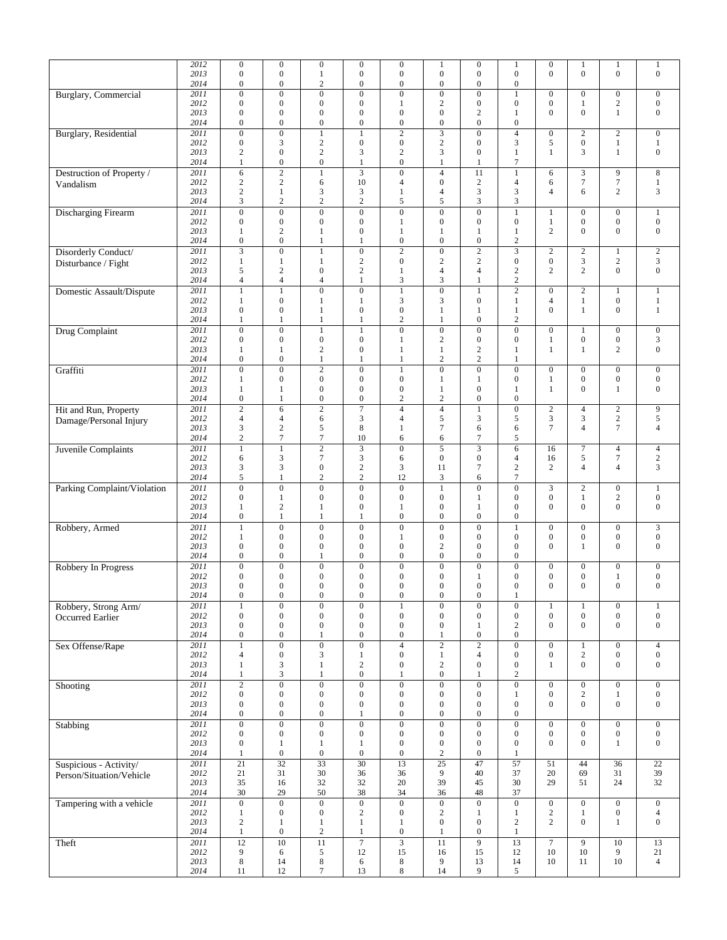|                              | 2012 | $\boldsymbol{0}$ | $\boldsymbol{0}$ | $\boldsymbol{0}$ | $\boldsymbol{0}$        | $\boldsymbol{0}$        | $\mathbf{1}$            | $\boldsymbol{0}$ | $\mathbf{1}$     | $\mathbf{0}$     | $\mathbf{1}$     | $\mathbf{1}$     | $\mathbf{1}$     |
|------------------------------|------|------------------|------------------|------------------|-------------------------|-------------------------|-------------------------|------------------|------------------|------------------|------------------|------------------|------------------|
|                              | 2013 | $\boldsymbol{0}$ | $\boldsymbol{0}$ | $\mathbf{1}$     | $\boldsymbol{0}$        | $\boldsymbol{0}$        | $\boldsymbol{0}$        | $\boldsymbol{0}$ | $\boldsymbol{0}$ | $\overline{0}$   | $\mathbf{0}$     | $\boldsymbol{0}$ | $\boldsymbol{0}$ |
|                              | 2014 | $\boldsymbol{0}$ | $\boldsymbol{0}$ | $\sqrt{2}$       | $\boldsymbol{0}$        | $\boldsymbol{0}$        | $\boldsymbol{0}$        | $\boldsymbol{0}$ | $\boldsymbol{0}$ |                  |                  |                  |                  |
| <b>Burglary</b> , Commercial | 2011 | $\boldsymbol{0}$ | $\boldsymbol{0}$ | $\boldsymbol{0}$ | $\overline{0}$          | $\boldsymbol{0}$        | $\boldsymbol{0}$        | $\overline{0}$   | $\mathbf{1}$     | $\boldsymbol{0}$ | $\boldsymbol{0}$ | $\boldsymbol{0}$ | $\boldsymbol{0}$ |
|                              | 2012 | $\overline{0}$   | $\boldsymbol{0}$ | $\boldsymbol{0}$ | $\overline{0}$          | 1                       | $\sqrt{2}$              | $\boldsymbol{0}$ | $\boldsymbol{0}$ | $\boldsymbol{0}$ | $\mathbf{1}$     | $\sqrt{2}$       | $\boldsymbol{0}$ |
|                              |      |                  |                  |                  |                         |                         |                         |                  |                  |                  |                  |                  |                  |
|                              | 2013 | $\boldsymbol{0}$ | $\boldsymbol{0}$ | $\boldsymbol{0}$ | $\boldsymbol{0}$        | $\boldsymbol{0}$        | $\boldsymbol{0}$        | 2                | 1                | $\mathbf{0}$     | $\mathbf{0}$     | $\mathbf{1}$     | $\boldsymbol{0}$ |
|                              | 2014 | $\mathbf{0}$     | $\boldsymbol{0}$ | $\boldsymbol{0}$ | $\overline{0}$          | $\boldsymbol{0}$        | $\boldsymbol{0}$        | $\mathbf{0}$     | $\mathbf{0}$     |                  |                  |                  |                  |
| Burglary, Residential        | 2011 | $\boldsymbol{0}$ | $\overline{0}$   | 1                | 1                       | $\overline{2}$          | $\overline{\mathbf{3}}$ | $\overline{0}$   | $\overline{4}$   | $\boldsymbol{0}$ | $\sqrt{2}$       | $\overline{c}$   | $\boldsymbol{0}$ |
|                              | 2012 | $\boldsymbol{0}$ | 3                | $\sqrt{2}$       | $\boldsymbol{0}$        | $\boldsymbol{0}$        | $\sqrt{2}$              | $\overline{0}$   | 3                | 5                | $\boldsymbol{0}$ | $\mathbf{1}$     | 1                |
|                              | 2013 | $\overline{c}$   | $\boldsymbol{0}$ | $\mathbf{2}$     | 3                       | 2                       | 3                       | $\boldsymbol{0}$ | 1                | 1                | 3                | $\mathbf{1}$     | $\mathbf{0}$     |
|                              |      |                  |                  |                  |                         |                         |                         |                  |                  |                  |                  |                  |                  |
|                              | 2014 | 1                | $\boldsymbol{0}$ | $\boldsymbol{0}$ | $\mathbf{1}$            | $\boldsymbol{0}$        | $\mathbf{1}$            | 1                | $\boldsymbol{7}$ |                  |                  |                  |                  |
| Destruction of Property /    | 2011 | 6                | $\overline{2}$   | $\mathbf{1}$     | $\overline{\mathbf{3}}$ | $\overline{0}$          | $\overline{4}$          | 11               | $\,1$            | 6                | 3                | 9                | $\,8\,$          |
| Vandalism                    | 2012 | $\mathbf{2}$     | $\overline{c}$   | 6                | 10                      | $\overline{4}$          | $\boldsymbol{0}$        | $\mathfrak{2}$   | $\overline{4}$   | 6                | $\tau$           | $7\phantom{.0}$  | 1                |
|                              | 2013 | $\mathbf{2}$     | $\mathbf{1}$     | 3                | 3                       | $\mathbf{1}$            | $\overline{4}$          | 3                | 3                | $\overline{4}$   | 6                | $\mathfrak{2}$   | 3                |
|                              |      |                  |                  |                  | $\mathbf{2}$            |                         |                         | 3                |                  |                  |                  |                  |                  |
|                              | 2014 | 3                | $\overline{c}$   | $\mathbf{2}$     |                         | 5                       | 5                       |                  | 3                |                  |                  |                  |                  |
| <b>Discharging Firearm</b>   | 2011 | $\overline{0}$   | $\overline{0}$   | $\overline{0}$   | $\overline{0}$          | $\overline{0}$          | $\overline{0}$          | $\overline{0}$   | $\mathbf{1}$     | 1                | $\mathbf{0}$     | $\mathbf{0}$     | $\mathbf{1}$     |
|                              | 2012 | $\boldsymbol{0}$ | $\boldsymbol{0}$ | $\boldsymbol{0}$ | $\boldsymbol{0}$        | 1                       | $\boldsymbol{0}$        | 0                | $\boldsymbol{0}$ | $\mathbf{1}$     | $\mathbf{0}$     | $\mathbf{0}$     | $\boldsymbol{0}$ |
|                              | 2013 | 1                | $\overline{c}$   | 1                | $\overline{0}$          | 1                       | $\mathbf{1}$            | 1                | $\mathbf{1}$     | $\overline{c}$   | $\overline{0}$   | $\mathbf{0}$     | $\mathbf{0}$     |
|                              | 2014 | $\boldsymbol{0}$ | $\boldsymbol{0}$ | 1                | 1                       | $\boldsymbol{0}$        | $\boldsymbol{0}$        | $\boldsymbol{0}$ | $\sqrt{2}$       |                  |                  |                  |                  |
|                              |      |                  |                  |                  |                         |                         |                         |                  |                  |                  |                  |                  |                  |
| Disorderly Conduct/          | 2011 | $\overline{3}$   | $\boldsymbol{0}$ | $\mathbf{1}$     | $\boldsymbol{0}$        | $\overline{c}$          | $\mathbf{0}$            | $\mathbf{2}$     | $\sqrt{3}$       | $\sqrt{2}$       | $\sqrt{2}$       | $\mathbf{1}$     | $\sqrt{2}$       |
| Disturbance / Fight          | 2012 | 1                | $\mathbf{1}$     | $\mathbf{1}$     | $\overline{c}$          | $\boldsymbol{0}$        | $\overline{c}$          | $\overline{c}$   | $\boldsymbol{0}$ | $\boldsymbol{0}$ | 3                | $\sqrt{2}$       | 3                |
|                              | 2013 | 5                | $\overline{c}$   | $\boldsymbol{0}$ | $\overline{c}$          | $\mathbf{1}$            | $\overline{4}$          | $\overline{4}$   | $\sqrt{2}$       | $\overline{c}$   | $\overline{2}$   | $\mathbf{0}$     | $\mathbf{0}$     |
|                              | 2014 | 4                | $\overline{4}$   | $\overline{4}$   | $\mathbf{1}$            | 3                       | 3                       | 1                | $\overline{c}$   |                  |                  |                  |                  |
|                              |      |                  |                  |                  | $\overline{0}$          |                         |                         |                  |                  |                  |                  |                  |                  |
| Domestic Assault/Dispute     | 2011 | $\mathbf{1}$     | $\mathbf{1}$     | $\boldsymbol{0}$ |                         | $\mathbf{1}$            | $\overline{0}$          | $\mathbf{1}$     | $\overline{2}$   | $\boldsymbol{0}$ | 2                | 1                | 1                |
|                              | 2012 | 1                | $\boldsymbol{0}$ | $\mathbf{1}$     | $\mathbf{1}$            | 3                       | 3                       | $\boldsymbol{0}$ | $\mathbf{1}$     | $\overline{4}$   | $\mathbf{1}$     | $\boldsymbol{0}$ | $\mathbf{1}$     |
|                              | 2013 | $\overline{0}$   | $\mathbf{0}$     | 1                | $\mathbf{0}$            | $\mathbf{0}$            | 1                       | 1                | 1                | $\theta$         | 1                | $\mathbf{0}$     | 1                |
|                              | 2014 | 1                | 1                | 1                | 1                       | 2                       | $\mathbf{1}$            | $\boldsymbol{0}$ | $\overline{c}$   |                  |                  |                  |                  |
| Drug Complaint               | 2011 | $\boldsymbol{0}$ | $\boldsymbol{0}$ | $\mathbf{1}$     | 1                       | $\boldsymbol{0}$        | $\boldsymbol{0}$        | $\boldsymbol{0}$ | $\boldsymbol{0}$ | $\boldsymbol{0}$ | $\mathbf{1}$     | $\mathbf{0}$     | $\mathbf{0}$     |
|                              |      |                  |                  |                  |                         |                         |                         |                  |                  |                  |                  |                  |                  |
|                              | 2012 | $\boldsymbol{0}$ | $\boldsymbol{0}$ | $\boldsymbol{0}$ | $\boldsymbol{0}$        | 1                       | $\mathbf{2}$            | $\boldsymbol{0}$ | $\boldsymbol{0}$ | $\mathbf{1}$     | $\boldsymbol{0}$ | $\boldsymbol{0}$ | 3                |
|                              | 2013 | 1                | 1                | $\boldsymbol{2}$ | $\boldsymbol{0}$        | 1                       | $\mathbf{1}$            | $\sqrt{2}$       | 1                | 1                | 1                | $\mathfrak{2}$   | $\mathbf{0}$     |
|                              | 2014 | $\mathbf{0}$     | $\overline{0}$   | $\mathbf{1}$     | 1                       | 1                       | $\overline{c}$          | $\overline{c}$   | $\mathbf{1}$     |                  |                  |                  |                  |
| Graffiti                     | 2011 | $\boldsymbol{0}$ | $\overline{0}$   | $\mathbf{2}$     | $\overline{0}$          | $\mathbf{1}$            | $\mathbf{0}$            | $\overline{0}$   | $\boldsymbol{0}$ | $\boldsymbol{0}$ | $\boldsymbol{0}$ | $\mathbf{0}$     | $\mathbf{0}$     |
|                              | 2012 | 1                | $\boldsymbol{0}$ | $\boldsymbol{0}$ | $\boldsymbol{0}$        | $\boldsymbol{0}$        | $\mathbf{1}$            | 1                | $\boldsymbol{0}$ | $\mathbf{1}$     | $\boldsymbol{0}$ | $\boldsymbol{0}$ | $\boldsymbol{0}$ |
|                              |      |                  |                  |                  |                         |                         |                         |                  |                  |                  |                  |                  |                  |
|                              | 2013 | 1                | 1                | $\boldsymbol{0}$ | $\boldsymbol{0}$        | $\boldsymbol{0}$        | $\mathbf{1}$            | $\overline{0}$   | 1                | $\mathbf{1}$     | $\overline{0}$   | $\mathbf{1}$     | $\boldsymbol{0}$ |
|                              | 2014 | $\boldsymbol{0}$ | $\mathbf{1}$     | $\boldsymbol{0}$ | $\boldsymbol{0}$        | $\sqrt{2}$              | $\sqrt{2}$              | $\overline{0}$   | $\boldsymbol{0}$ |                  |                  |                  |                  |
| Hit and Run, Property        | 2011 | $\sqrt{2}$       | 6                | $\sqrt{2}$       | $\overline{7}$          | $\overline{4}$          | $\overline{4}$          | $\mathbf{1}$     | $\boldsymbol{0}$ | $\sqrt{2}$       | 4                | $\sqrt{2}$       | 9                |
|                              | 2012 | $\overline{4}$   | 4                | 6                | 3                       | 4                       | 5                       | 3                | 5                | 3                | 3                | $\sqrt{2}$       | $\sqrt{5}$       |
| Damage/Personal Injury       |      |                  |                  |                  |                         |                         |                         |                  |                  | $\overline{7}$   | $\overline{4}$   | $\overline{7}$   |                  |
|                              | 2013 | 3                | $\mathbf{2}$     | 5                | 8                       | $\mathbf{1}$            | $\tau$                  | 6                | 6                |                  |                  |                  | $\overline{4}$   |
|                              | 2014 | $\mathbf{2}$     | $\tau$           | $\tau$           | 10                      | 6                       | 6                       | 7                | 5                |                  |                  |                  |                  |
| Juvenile Complaints          | 2011 | $\mathbf{1}$     | $\overline{1}$   | $\overline{2}$   |                         | $\boldsymbol{0}$        | $\overline{5}$          |                  | 6                | 16               | $\overline{7}$   | $\overline{4}$   | $\overline{4}$   |
|                              | 2012 | 6                | 3                | 7                | 3                       | 6                       | $\boldsymbol{0}$        | $\boldsymbol{0}$ | $\overline{4}$   | 16               | $\sqrt{5}$       | 7                | $\sqrt{2}$       |
|                              | 2013 | 3                | 3                | $\boldsymbol{0}$ | $\mathbf{2}$            | 3                       | 11                      | 7                | $\mathbf{2}$     | $\overline{2}$   | $\overline{4}$   | $\overline{4}$   | 3                |
|                              |      |                  |                  |                  |                         |                         |                         |                  |                  |                  |                  |                  |                  |
|                              | 2014 | $\sqrt{5}$       | $\mathbf{1}$     | $\sqrt{2}$       | $\sqrt{2}$              | 12                      | 3                       | 6                | $\boldsymbol{7}$ |                  |                  |                  |                  |
| Parking Complaint/Violation  | 2011 | $\overline{0}$   | $\overline{0}$   | $\overline{0}$   | $\overline{0}$          | $\overline{0}$          | $\overline{1}$          | $\overline{0}$   | $\overline{0}$   | 3                | $\overline{2}$   | $\boldsymbol{0}$ | $\overline{1}$   |
|                              | 2012 | $\boldsymbol{0}$ | 1                | $\boldsymbol{0}$ | $\boldsymbol{0}$        | $\boldsymbol{0}$        | $\boldsymbol{0}$        | 1                | $\boldsymbol{0}$ | $\boldsymbol{0}$ | 1                | $\boldsymbol{2}$ | $\boldsymbol{0}$ |
|                              | 2013 | 1                | $\overline{c}$   | 1                | $\boldsymbol{0}$        | 1                       | $\boldsymbol{0}$        | $\mathbf{1}$     | $\boldsymbol{0}$ | $\overline{0}$   | $\mathbf{0}$     | $\mathbf{0}$     | $\boldsymbol{0}$ |
|                              |      |                  |                  |                  |                         |                         |                         |                  |                  |                  |                  |                  |                  |
|                              | 2014 | $\boldsymbol{0}$ | 1                | 1                | 1                       | $\mathbf{0}$            | $\boldsymbol{0}$        | $\boldsymbol{0}$ | $\boldsymbol{0}$ |                  |                  |                  |                  |
| Robbery, Armed               | 2011 | 1                | $\overline{0}$   | $\boldsymbol{0}$ | $\overline{0}$          | $\boldsymbol{0}$        | $\overline{0}$          | $\overline{0}$   | $\mathbf{1}$     | $\mathbf{0}$     | $\boldsymbol{0}$ | $\overline{0}$   | $\overline{3}$   |
|                              | 2012 | 1                | $\boldsymbol{0}$ | $\boldsymbol{0}$ | $\boldsymbol{0}$        | 1                       | $\boldsymbol{0}$        | $\boldsymbol{0}$ | $\boldsymbol{0}$ | $\boldsymbol{0}$ | $\boldsymbol{0}$ | $\mathbf{0}$     | $\mathbf{0}$     |
|                              | 2013 | $\boldsymbol{0}$ | $\boldsymbol{0}$ | $\boldsymbol{0}$ | $\boldsymbol{0}$        | $\boldsymbol{0}$        | $\sqrt{2}$              | $\boldsymbol{0}$ | $\boldsymbol{0}$ | $\overline{0}$   | 1                | $\mathbf{0}$     | $\mathbf{0}$     |
|                              | 2014 | $\boldsymbol{0}$ | $\boldsymbol{0}$ | 1                | $\boldsymbol{0}$        | $\boldsymbol{0}$        | $\boldsymbol{0}$        | $\boldsymbol{0}$ | $\boldsymbol{0}$ |                  |                  |                  |                  |
|                              |      |                  |                  |                  |                         |                         |                         |                  |                  |                  |                  |                  |                  |
| Robbery In Progress          | 2011 | $\mathbf{0}$     | $\overline{0}$   | $\boldsymbol{0}$ | $\overline{0}$          | $\boldsymbol{0}$        | $\boldsymbol{0}$        | $\overline{0}$   | $\boldsymbol{0}$ | $\boldsymbol{0}$ | $\boldsymbol{0}$ | $\boldsymbol{0}$ | $\mathbf{0}$     |
|                              | 2012 | $\boldsymbol{0}$ | $\boldsymbol{0}$ | $\boldsymbol{0}$ | $\boldsymbol{0}$        | $\boldsymbol{0}$        | $\boldsymbol{0}$        | $\mathbf{1}$     | $\boldsymbol{0}$ | $\boldsymbol{0}$ | $\boldsymbol{0}$ | $\mathbf{1}$     | $\mathbf{0}$     |
|                              | 2013 | $\Omega$         | $\theta$         | $\theta$         | $\theta$                | $\Omega$                | $\theta$                | $\overline{0}$   | $\Omega$         | $\theta$         | $\theta$         | $\overline{0}$   | $\Omega$         |
|                              | 2014 | $\boldsymbol{0}$ | $\boldsymbol{0}$ | $\boldsymbol{0}$ | $\boldsymbol{0}$        | $\boldsymbol{0}$        | $\boldsymbol{0}$        | $\boldsymbol{0}$ | $\mathbf{1}$     |                  |                  |                  |                  |
|                              | 2011 |                  | $\overline{0}$   | $\overline{0}$   | $\overline{0}$          | 1                       | $\overline{0}$          | $\overline{0}$   |                  |                  |                  |                  |                  |
| Robbery, Strong Arm/         |      | $\mathbf{1}$     |                  |                  |                         |                         |                         |                  | $\overline{0}$   | $\mathbf{1}$     | $\mathbf{1}$     | $\boldsymbol{0}$ | $\mathbf{1}$     |
| Occurred Earlier             | 2012 | $\mathbf{0}$     | $\boldsymbol{0}$ | $\boldsymbol{0}$ | $\boldsymbol{0}$        | $\boldsymbol{0}$        | $\boldsymbol{0}$        | $\boldsymbol{0}$ | $\boldsymbol{0}$ | $\boldsymbol{0}$ | $\boldsymbol{0}$ | $\boldsymbol{0}$ | $\boldsymbol{0}$ |
|                              | 2013 | $\boldsymbol{0}$ | $\boldsymbol{0}$ | $\boldsymbol{0}$ | $\boldsymbol{0}$        | $\boldsymbol{0}$        | $\boldsymbol{0}$        | 1                | $\sqrt{2}$       | $\overline{0}$   | $\boldsymbol{0}$ | $\boldsymbol{0}$ | $\boldsymbol{0}$ |
|                              | 2014 | $\boldsymbol{0}$ | $\boldsymbol{0}$ | $\mathbf{1}$     | $\boldsymbol{0}$        | $\boldsymbol{0}$        | $\mathbf{1}$            | $\boldsymbol{0}$ | $\boldsymbol{0}$ |                  |                  |                  |                  |
| Sex Offense/Rape             | 2011 | $\mathbf{1}$     | $\overline{0}$   | $\boldsymbol{0}$ | $\overline{0}$          | $\overline{4}$          | $\overline{2}$          | $\overline{2}$   | $\boldsymbol{0}$ | $\boldsymbol{0}$ | $\mathbf{1}$     | $\boldsymbol{0}$ | $\overline{4}$   |
|                              | 2012 | $\overline{4}$   | $\boldsymbol{0}$ | 3                | $\mathbf{1}$            | $\boldsymbol{0}$        | $\,1$                   | $\overline{4}$   | $\boldsymbol{0}$ | $\boldsymbol{0}$ | $\sqrt{2}$       | $\boldsymbol{0}$ | $\boldsymbol{0}$ |
|                              |      |                  |                  |                  |                         |                         |                         |                  |                  |                  |                  |                  |                  |
|                              | 2013 | $\mathbf{1}$     | 3                | $\mathbf{1}$     | $\sqrt{2}$              | $\boldsymbol{0}$        | $\sqrt{2}$              | $\boldsymbol{0}$ | $\boldsymbol{0}$ | $\mathbf{1}$     | $\overline{0}$   | $\boldsymbol{0}$ | $\boldsymbol{0}$ |
|                              | 2014 | $\mathbf{1}$     | 3                | $\mathbf{1}$     | $\boldsymbol{0}$        | 1                       | $\boldsymbol{0}$        | $\mathbf{1}$     | $\overline{c}$   |                  |                  |                  |                  |
| Shooting                     | 2011 | $\overline{2}$   | $\overline{0}$   | $\boldsymbol{0}$ | $\overline{0}$          | $\boldsymbol{0}$        | $\overline{0}$          | $\boldsymbol{0}$ | $\boldsymbol{0}$ | $\boldsymbol{0}$ | $\boldsymbol{0}$ | $\boldsymbol{0}$ | $\boldsymbol{0}$ |
|                              | 2012 | $\boldsymbol{0}$ | $\boldsymbol{0}$ | $\boldsymbol{0}$ | $\boldsymbol{0}$        | $\boldsymbol{0}$        | $\boldsymbol{0}$        | $\boldsymbol{0}$ | $\mathbf{1}$     | $\boldsymbol{0}$ | $\sqrt{2}$       | $\mathbf{1}$     | $\boldsymbol{0}$ |
|                              | 2013 | $\boldsymbol{0}$ | $\boldsymbol{0}$ | $\boldsymbol{0}$ | $\boldsymbol{0}$        | $\boldsymbol{0}$        | $\boldsymbol{0}$        | $\boldsymbol{0}$ | $\boldsymbol{0}$ | $\overline{0}$   | $\overline{0}$   | $\boldsymbol{0}$ | $\boldsymbol{0}$ |
|                              | 2014 | $\boldsymbol{0}$ |                  | $\boldsymbol{0}$ |                         |                         |                         | $\boldsymbol{0}$ | $\boldsymbol{0}$ |                  |                  |                  |                  |
|                              |      |                  | $\boldsymbol{0}$ |                  | $\mathbf{1}$            | $\boldsymbol{0}$        | $\boldsymbol{0}$        |                  |                  |                  |                  |                  |                  |
| Stabbing                     | 2011 | $\overline{0}$   | $\overline{0}$   | $\overline{0}$   | $\overline{0}$          | $\overline{0}$          | $\overline{0}$          | $\overline{0}$   | $\overline{0}$   | $\boldsymbol{0}$ | $\boldsymbol{0}$ | $\boldsymbol{0}$ | $\boldsymbol{0}$ |
|                              | 2012 | $\boldsymbol{0}$ | $\boldsymbol{0}$ | $\boldsymbol{0}$ | $\boldsymbol{0}$        | $\boldsymbol{0}$        | $\boldsymbol{0}$        | $\boldsymbol{0}$ | $\boldsymbol{0}$ | $\boldsymbol{0}$ | $\boldsymbol{0}$ | $\boldsymbol{0}$ | $\boldsymbol{0}$ |
|                              | 2013 | $\boldsymbol{0}$ | $\mathbf{1}$     | $\mathbf{1}$     | $\mathbf{1}$            | $\boldsymbol{0}$        | $\mathbf{0}$            | $\boldsymbol{0}$ | $\boldsymbol{0}$ | $\overline{0}$   | $\mathbf{0}$     | $\mathbf{1}$     | $\boldsymbol{0}$ |
|                              | 2014 | 1                | $\boldsymbol{0}$ | $\boldsymbol{0}$ | $\boldsymbol{0}$        | $\boldsymbol{0}$        | $\boldsymbol{2}$        | $\boldsymbol{0}$ | $\mathbf{1}$     |                  |                  |                  |                  |
|                              |      |                  |                  |                  |                         |                         |                         |                  |                  |                  |                  |                  |                  |
| Suspicious - Activity/       | 2011 | $\overline{21}$  | $\overline{32}$  | $\overline{33}$  | $\overline{30}$         | 13                      | $\overline{25}$         | $\overline{47}$  | $\overline{57}$  | 51               | 44               | 36               | $\overline{22}$  |
| Person/Situation/Vehicle     | 2012 | 21               | 31               | 30               | 36                      | 36                      | 9                       | 40               | 37               | 20               | 69               | 31               | 39               |
|                              | 2013 | 35               | 16               | 32               | 32                      | 20                      | 39                      | 45               | 30               | 29               | 51               | 24               | 32               |
|                              | 2014 | 30               | 29               | $50\,$           | 38                      | 34                      | 36                      | 48               | 37               |                  |                  |                  |                  |
|                              |      |                  |                  |                  |                         |                         |                         |                  |                  |                  |                  |                  |                  |
| Tampering with a vehicle     | 2011 | $\overline{0}$   | $\overline{0}$   | $\overline{0}$   | $\overline{0}$          | $\overline{0}$          | $\overline{0}$          | $\overline{0}$   | $\overline{0}$   | $\boldsymbol{0}$ | $\boldsymbol{0}$ | $\overline{0}$   | $\boldsymbol{0}$ |
|                              | 2012 | 1                | $\boldsymbol{0}$ | $\boldsymbol{0}$ | $\boldsymbol{2}$        | $\boldsymbol{0}$        | $\sqrt{2}$              | $\mathbf{1}$     | $\mathbf{1}$     | $\boldsymbol{2}$ | $\mathbf{1}$     | $\boldsymbol{0}$ | $\overline{4}$   |
|                              | 2013 | $\sqrt{2}$       | $\mathbf{1}$     | $\mathbf{1}$     | $\mathbf{1}$            | $\mathbf{1}$            | $\boldsymbol{0}$        | $\boldsymbol{0}$ | $\sqrt{2}$       | $\overline{2}$   | $\boldsymbol{0}$ | $\mathbf{1}$     | $\boldsymbol{0}$ |
|                              | 2014 | $\mathbf{1}$     | $\boldsymbol{0}$ | $\overline{c}$   | $\mathbf{1}$            | $\boldsymbol{0}$        | $\mathbf{1}$            | $\boldsymbol{0}$ | $\mathbf{1}$     |                  |                  |                  |                  |
|                              | 2011 | 12               | $\overline{10}$  | 11               | $\overline{7}$          | $\overline{\mathbf{3}}$ | $\overline{11}$         | 9                | 13               | $\boldsymbol{7}$ | 9                | 10               | 13               |
| Theft                        |      |                  |                  |                  |                         |                         |                         |                  |                  |                  |                  |                  |                  |
|                              | 2012 | 9                | 6                | 5                | 12                      | 15                      | 16                      | 15               | $12\,$           | $10\,$           | 10               | 9                | 21               |
|                              | 2013 | 8                | 14               | 8                | 6                       | 8                       | 9                       | 13               | 14               | 10               | 11               | 10               | $\overline{4}$   |
|                              | 2014 | 11               | 12               | $\tau$           | 13                      | 8                       | 14                      | 9                | 5                |                  |                  |                  |                  |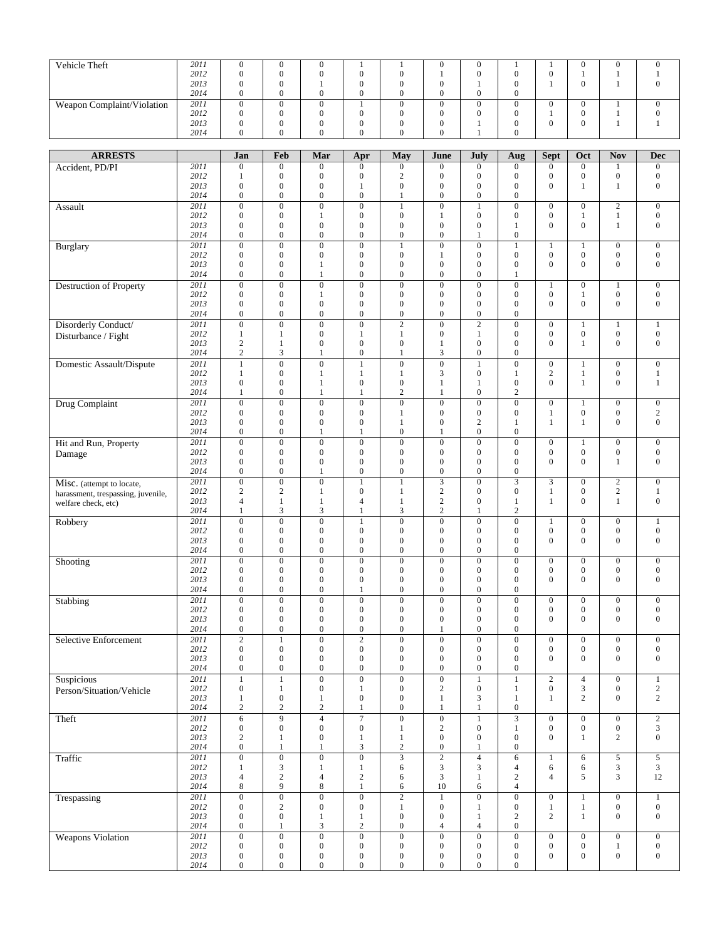| Vehicle Theft                      | 2011         | $\overline{0}$                   | $\boldsymbol{0}$                     | $\overline{0}$                       | 1                            | $\mathbf{1}$                     | $\overline{0}$                       | $\boldsymbol{0}$                     | $\mathbf{1}$                         | $\mathbf{1}$                       | $\overline{0}$                   | $\overline{0}$                 | $\mathbf{0}$                 |
|------------------------------------|--------------|----------------------------------|--------------------------------------|--------------------------------------|------------------------------|----------------------------------|--------------------------------------|--------------------------------------|--------------------------------------|------------------------------------|----------------------------------|--------------------------------|------------------------------|
|                                    | 2012         | $\boldsymbol{0}$                 | $\boldsymbol{0}$                     | $\boldsymbol{0}$                     | $\boldsymbol{0}$             | $\boldsymbol{0}$                 | $\mathbf{1}$                         | $\boldsymbol{0}$                     | $\boldsymbol{0}$                     | $\boldsymbol{0}$                   | 1                                | $\mathbf{1}$                   | $\mathbf{1}$                 |
|                                    | 2013         | $\overline{0}$                   | $\boldsymbol{0}$                     | 1                                    | $\overline{0}$               | $\overline{0}$                   | $\boldsymbol{0}$                     | 1                                    | $\boldsymbol{0}$                     | $\mathbf{1}$                       | $\overline{0}$                   | $\mathbf{1}$                   | $\boldsymbol{0}$             |
|                                    | 2014         | $\boldsymbol{0}$                 | $\boldsymbol{0}$                     | $\boldsymbol{0}$                     | $\overline{0}$               | $\boldsymbol{0}$                 | $\boldsymbol{0}$                     | $\boldsymbol{0}$                     | $\boldsymbol{0}$                     |                                    |                                  |                                |                              |
|                                    | 2011         | $\boldsymbol{0}$                 | $\overline{0}$                       | $\boldsymbol{0}$                     | 1                            | $\overline{0}$                   | $\overline{0}$                       | $\overline{0}$                       | $\overline{0}$                       | $\boldsymbol{0}$                   | $\boldsymbol{0}$                 | $\mathbf{1}$                   | $\mathbf{0}$                 |
| Weapon Complaint/Violation         | 2012         | $\boldsymbol{0}$                 | $\boldsymbol{0}$                     | $\boldsymbol{0}$                     | $\boldsymbol{0}$             | $\boldsymbol{0}$                 | $\boldsymbol{0}$                     | $\boldsymbol{0}$                     | $\boldsymbol{0}$                     | $\mathbf{1}$                       | $\boldsymbol{0}$                 | $\mathbf{1}$                   | $\boldsymbol{0}$             |
|                                    | 2013         | $\boldsymbol{0}$                 | $\boldsymbol{0}$                     | $\boldsymbol{0}$                     | $\boldsymbol{0}$             | $\boldsymbol{0}$                 | $\boldsymbol{0}$                     | 1                                    | $\boldsymbol{0}$                     | $\overline{0}$                     | $\overline{0}$                   | $\mathbf{1}$                   | $\mathbf{1}$                 |
|                                    | 2014         | $\overline{0}$                   | $\boldsymbol{0}$                     | $\boldsymbol{0}$                     | $\boldsymbol{0}$             | $\boldsymbol{0}$                 | $\boldsymbol{0}$                     | 1                                    | $\boldsymbol{0}$                     |                                    |                                  |                                |                              |
|                                    |              |                                  |                                      |                                      |                              |                                  |                                      |                                      |                                      |                                    |                                  |                                |                              |
|                                    |              |                                  |                                      |                                      |                              |                                  |                                      |                                      |                                      |                                    |                                  |                                |                              |
| <b>ARRESTS</b>                     |              | Jan                              | Feb                                  | Mar                                  | Apr                          | May                              | June                                 | July                                 | Aug                                  | <b>Sept</b>                        | Oct                              | <b>Nov</b>                     | <b>Dec</b>                   |
| Accident, PD/PI                    | 2011         | $\boldsymbol{0}$                 | $\boldsymbol{0}$                     | $\boldsymbol{0}$                     | $\boldsymbol{0}$             | $\boldsymbol{0}$                 | $\boldsymbol{0}$                     | $\boldsymbol{0}$                     | $\boldsymbol{0}$                     | $\boldsymbol{0}$                   | $\mathbf{0}$                     | $\mathbf{1}$                   | $\boldsymbol{0}$             |
|                                    | 2012         | 1                                | $\boldsymbol{0}$                     | $\mathbf{0}$                         | $\boldsymbol{0}$             | $\overline{c}$                   | $\boldsymbol{0}$                     | $\boldsymbol{0}$                     | $\boldsymbol{0}$                     | $\boldsymbol{0}$                   | $\boldsymbol{0}$                 | $\boldsymbol{0}$               | $\boldsymbol{0}$             |
|                                    | 2013         | $\boldsymbol{0}$                 | $\boldsymbol{0}$                     | $\mathbf{0}$                         | 1                            | $\boldsymbol{0}$                 | $\boldsymbol{0}$                     | $\mathbf{0}$                         | $\boldsymbol{0}$                     | $\mathbf{0}$                       | 1                                | $\mathbf{1}$                   | $\mathbf{0}$                 |
|                                    | 2014         | $\mathbf{0}$                     | $\overline{0}$                       | $\boldsymbol{0}$                     | $\overline{0}$               | $\mathbf{1}$                     | $\boldsymbol{0}$                     | $\boldsymbol{0}$                     | $\boldsymbol{0}$                     |                                    |                                  |                                |                              |
| Assault                            | 2011         | $\boldsymbol{0}$                 | $\overline{0}$                       | $\boldsymbol{0}$                     | $\overline{0}$               | $\mathbf{1}$                     | $\boldsymbol{0}$                     | $\mathbf{1}$                         | $\boldsymbol{0}$                     | $\boldsymbol{0}$                   | $\mathbf{0}$                     | $\overline{c}$                 | $\mathbf{0}$                 |
|                                    | 2012         | $\boldsymbol{0}$                 | $\boldsymbol{0}$                     | 1                                    | $\boldsymbol{0}$             | $\boldsymbol{0}$                 | $\mathbf{1}$                         | $\boldsymbol{0}$                     | $\mathbf{0}$                         | $\mathbf{0}$                       | 1                                | $\mathbf{1}$                   | $\mathbf{0}$                 |
|                                    | 2013<br>2014 | $\mathbf{0}$<br>$\overline{0}$   | $\boldsymbol{0}$<br>$\boldsymbol{0}$ | $\boldsymbol{0}$<br>$\boldsymbol{0}$ | $\mathbf{0}$<br>$\mathbf{0}$ | $\mathbf{0}$<br>$\mathbf{0}$     | $\boldsymbol{0}$<br>$\boldsymbol{0}$ | $\mathbf{0}$<br>$\mathbf{1}$         | $\mathbf{1}$<br>$\boldsymbol{0}$     | $\Omega$                           | $\mathbf{0}$                     | 1                              | $\boldsymbol{0}$             |
|                                    | 2011         | $\boldsymbol{0}$                 | $\boldsymbol{0}$                     | $\boldsymbol{0}$                     | $\boldsymbol{0}$             | 1                                | $\boldsymbol{0}$                     | $\boldsymbol{0}$                     | $\mathbf{1}$                         | $\mathbf{1}$                       | $\mathbf{1}$                     | $\boldsymbol{0}$               | $\mathbf{0}$                 |
| Burglary                           | 2012         | $\boldsymbol{0}$                 | $\boldsymbol{0}$                     | $\boldsymbol{0}$                     | $\boldsymbol{0}$             | $\boldsymbol{0}$                 | 1                                    | $\boldsymbol{0}$                     | $\boldsymbol{0}$                     | $\boldsymbol{0}$                   | $\boldsymbol{0}$                 | $\boldsymbol{0}$               | $\boldsymbol{0}$             |
|                                    | 2013         | $\boldsymbol{0}$                 | $\boldsymbol{0}$                     | 1                                    | $\boldsymbol{0}$             | $\boldsymbol{0}$                 | $\boldsymbol{0}$                     | $\mathbf{0}$                         | $\mathbf{0}$                         | $\Omega$                           | $\mathbf{0}$                     | $\mathbf{0}$                   | $\boldsymbol{0}$             |
|                                    | 2014         | $\overline{0}$                   | $\overline{0}$                       | 1                                    | $\overline{0}$               | $\overline{0}$                   | $\overline{0}$                       | $\overline{0}$                       | 1                                    |                                    |                                  |                                |                              |
| Destruction of Property            | 2011         | $\overline{0}$                   | $\overline{0}$                       | $\boldsymbol{0}$                     | $\overline{0}$               | $\overline{0}$                   | $\overline{0}$                       | $\overline{0}$                       | $\boldsymbol{0}$                     | $\mathbf{1}$                       | $\boldsymbol{0}$                 | $\mathbf{1}$                   | $\mathbf{0}$                 |
|                                    | 2012         | $\boldsymbol{0}$                 | $\boldsymbol{0}$                     | 1                                    | $\boldsymbol{0}$             | $\boldsymbol{0}$                 | $\boldsymbol{0}$                     | $\boldsymbol{0}$                     | $\mathbf{0}$                         | $\boldsymbol{0}$                   | 1                                | $\boldsymbol{0}$               | $\boldsymbol{0}$             |
|                                    | 2013         | $\mathbf{0}$                     | $\boldsymbol{0}$                     | $\mathbf{0}$                         | $\mathbf{0}$                 | $\overline{0}$                   | $\boldsymbol{0}$                     | $\overline{0}$                       | $\mathbf{0}$                         | $\mathbf{0}$                       | $\mathbf{0}$                     | $\boldsymbol{0}$               | $\mathbf{0}$                 |
|                                    | 2014         | $\overline{0}$                   | $\boldsymbol{0}$                     | $\boldsymbol{0}$                     | $\mathbf{0}$                 | $\boldsymbol{0}$                 | $\boldsymbol{0}$                     | $\boldsymbol{0}$                     | $\boldsymbol{0}$                     |                                    |                                  |                                |                              |
| Disorderly Conduct/                | 2011         | $\boldsymbol{0}$                 | $\overline{0}$                       | $\boldsymbol{0}$                     | $\overline{0}$               | $\sqrt{2}$                       | $\overline{0}$                       | $\overline{2}$                       | $\boldsymbol{0}$                     | $\boldsymbol{0}$                   | $\mathbf{1}$                     | $\mathbf{1}$                   | $\mathbf{1}$                 |
| Disturbance / Fight                | 2012         | 1                                | 1                                    | $\boldsymbol{0}$                     | 1                            | 1                                | $\boldsymbol{0}$                     | $\mathbf{1}$                         | $\mathbf{0}$                         | $\boldsymbol{0}$                   | $\boldsymbol{0}$                 | $\boldsymbol{0}$               | $\boldsymbol{0}$             |
|                                    | 2013         | $\mathbf{2}$                     | $\mathbf{1}$                         | $\boldsymbol{0}$                     | $\mathbf{0}$                 | $\boldsymbol{0}$                 | $\mathbf{1}$                         | $\boldsymbol{0}$                     | $\mathbf{0}$                         | $\mathbf{0}$                       | 1                                | $\boldsymbol{0}$               | $\mathbf{0}$                 |
|                                    | 2014         | $\sqrt{2}$                       | 3                                    | 1                                    | $\boldsymbol{0}$             | 1                                | 3                                    | $\boldsymbol{0}$                     | $\mathbf{0}$                         |                                    |                                  |                                |                              |
| Domestic Assault/Dispute           | 2011         | $\mathbf{1}$                     | $\overline{0}$                       | $\overline{0}$                       | 1                            | $\overline{0}$                   | $\overline{0}$                       | 1                                    | $\overline{0}$                       | $\overline{0}$                     | $\mathbf{1}$                     | $\overline{0}$                 | $\overline{0}$               |
|                                    | 2012         | 1                                | $\boldsymbol{0}$                     | 1                                    | 1                            | 1                                | 3                                    | $\boldsymbol{0}$                     | 1                                    | $\mathfrak{2}$                     | 1                                | $\boldsymbol{0}$               | 1                            |
|                                    | 2013         | $\boldsymbol{0}$                 | $\overline{0}$                       | $\mathbf{1}$                         | $\boldsymbol{0}$             | $\boldsymbol{0}$                 | $\mathbf{1}$                         | $\mathbf{1}$                         | $\boldsymbol{0}$                     | $\mathbf{0}$                       | $\mathbf{1}$                     | $\boldsymbol{0}$               | $\mathbf{1}$                 |
|                                    | 2014         | 1                                | $\boldsymbol{0}$                     | 1                                    | 1                            | $\sqrt{2}$                       | 1                                    | $\boldsymbol{0}$                     | $\sqrt{2}$                           |                                    |                                  |                                |                              |
| Drug Complaint                     | 2011         | $\boldsymbol{0}$                 | $\overline{0}$                       | $\overline{0}$                       | $\overline{0}$               | $\overline{0}$                   | $\overline{0}$                       | $\overline{0}$                       | $\overline{0}$                       | $\overline{0}$                     | $\mathbf{1}$                     | $\overline{0}$                 | $\mathbf{0}$                 |
|                                    | 2012         | $\boldsymbol{0}$                 | $\boldsymbol{0}$                     | $\boldsymbol{0}$                     | $\boldsymbol{0}$             | $\mathbf{1}$                     | $\boldsymbol{0}$                     | $\boldsymbol{0}$                     | $\mathbf{0}$                         | $\mathbf{1}$                       | $\boldsymbol{0}$                 | $\mathbf{0}$                   | $\overline{c}$               |
|                                    | 2013         | $\mathbf{0}$                     | $\overline{0}$                       | $\mathbf{0}$                         | $\boldsymbol{0}$             | 1                                | $\boldsymbol{0}$                     | $\overline{c}$                       | 1                                    | 1                                  | 1                                | $\mathbf{0}$                   | $\mathbf{0}$                 |
|                                    | 2014         | $\boldsymbol{0}$                 | $\boldsymbol{0}$                     | 1                                    | 1                            | $\boldsymbol{0}$                 | 1                                    | $\boldsymbol{0}$                     | $\mathbf{0}$                         |                                    |                                  |                                |                              |
| Hit and Run, Property              | 2011         | $\overline{0}$                   | $\overline{0}$                       | $\boldsymbol{0}$                     | $\overline{0}$               | $\overline{0}$                   | $\overline{0}$                       | $\overline{0}$                       | $\overline{0}$                       | $\boldsymbol{0}$                   | $\mathbf{1}$                     | $\overline{0}$                 | $\overline{0}$               |
| Damage                             | 2012         | $\boldsymbol{0}$                 | $\boldsymbol{0}$                     | $\boldsymbol{0}$                     | $\boldsymbol{0}$             | $\boldsymbol{0}$                 | $\boldsymbol{0}$                     | $\boldsymbol{0}$                     | $\mathbf{0}$                         | $\boldsymbol{0}$                   | $\boldsymbol{0}$                 | $\mathbf{0}$                   | $\boldsymbol{0}$             |
|                                    | 2013         | $\boldsymbol{0}$                 | $\boldsymbol{0}$                     | $\boldsymbol{0}$                     | $\boldsymbol{0}$             | $\boldsymbol{0}$                 | $\boldsymbol{0}$                     | $\boldsymbol{0}$                     | $\mathbf{0}$                         | $\overline{0}$                     | $\overline{0}$                   | $\mathbf{1}$                   | $\mathbf{0}$                 |
|                                    | 2014         | $\boldsymbol{0}$                 | $\boldsymbol{0}$                     | 1                                    | $\boldsymbol{0}$             | $\boldsymbol{0}$                 | $\boldsymbol{0}$                     | $\boldsymbol{0}$                     | $\mathbf{0}$                         |                                    |                                  |                                |                              |
| Misc. (attempt to locate,          | 2011         | $\boldsymbol{0}$                 | $\overline{0}$                       | $\boldsymbol{0}$                     | 1                            | 1                                | $\overline{3}$                       | $\overline{0}$                       | $\overline{\mathbf{3}}$              | 3                                  | $\boldsymbol{0}$                 | $\sqrt{2}$                     | $\mathbf{0}$                 |
| harassment, trespassing, juvenile, | 2012         | $\boldsymbol{2}$                 | $\overline{c}$                       | $\mathbf{1}$                         | $\boldsymbol{0}$             | $\mathbf{1}$                     | $\sqrt{2}$                           | $\overline{0}$                       | $\boldsymbol{0}$                     | $\mathbf{1}$                       | $\boldsymbol{0}$                 | $\sqrt{2}$                     | $\mathbf{1}$                 |
| welfare check, etc)                | 2013         | $\overline{4}$                   | 1                                    | 1                                    | $\overline{4}$               | 1                                | $\sqrt{2}$                           | $\boldsymbol{0}$                     | 1                                    | 1                                  | $\mathbf{0}$                     | $\mathbf{1}$                   | $\mathbf{0}$                 |
|                                    | 2014         | $\mathbf{1}$                     | 3                                    | 3                                    | $\mathbf{1}$                 | 3                                | $\overline{c}$                       | $\mathbf{1}$                         | 2                                    |                                    |                                  |                                |                              |
| Robbery                            | 2011<br>2012 | $\boldsymbol{0}$<br>$\mathbf{0}$ | $\overline{0}$<br>$\boldsymbol{0}$   | $\boldsymbol{0}$<br>$\overline{0}$   | 1<br>$\boldsymbol{0}$        | $\boldsymbol{0}$<br>$\mathbf{0}$ | $\boldsymbol{0}$<br>$\boldsymbol{0}$ | $\boldsymbol{0}$<br>$\mathbf{0}$     | $\boldsymbol{0}$<br>$\boldsymbol{0}$ | $\mathbf{1}$<br>$\overline{0}$     | $\boldsymbol{0}$<br>$\mathbf{0}$ | $\mathbf{0}$<br>$\mathbf{0}$   | $\mathbf{1}$<br>$\mathbf{0}$ |
|                                    | 2013         | $\boldsymbol{0}$                 | $\boldsymbol{0}$                     | $\boldsymbol{0}$                     | $\boldsymbol{0}$             | $\boldsymbol{0}$                 | $\boldsymbol{0}$                     | $\boldsymbol{0}$                     | $\mathbf{0}$                         | $\mathbf{0}$                       | $\mathbf{0}$                     | $\mathbf{0}$                   | $\mathbf{0}$                 |
|                                    | 2014         | $\overline{0}$                   | $\boldsymbol{0}$                     | $\boldsymbol{0}$                     | $\mathbf{0}$                 | $\boldsymbol{0}$                 | $\boldsymbol{0}$                     | $\boldsymbol{0}$                     | $\mathbf{0}$                         |                                    |                                  |                                |                              |
| Shooting                           | 2011         | $\mathbf{0}$                     | $\mathbf{0}$                         | $\mathbf{0}$                         | $\mathbf{0}$                 | $\mathbf{0}$                     | $\mathbf{0}$                         | $\overline{0}$                       | $\boldsymbol{0}$                     | $\boldsymbol{0}$                   | $\boldsymbol{0}$                 | $\mathbf{0}$                   | $\mathbf{0}$                 |
|                                    | 2012         | $\overline{0}$                   | $\boldsymbol{0}$                     | $\mathbf{0}$                         | $\mathbf{0}$                 | $\boldsymbol{0}$                 | $\boldsymbol{0}$                     | $\overline{0}$                       | $\mathbf{0}$                         | $\boldsymbol{0}$                   | $\boldsymbol{0}$                 | $\boldsymbol{0}$               | $\mathbf{0}$                 |
|                                    | 2013         | $\boldsymbol{0}$                 | $\boldsymbol{0}$                     | $\boldsymbol{0}$                     | $\boldsymbol{0}$             | $\boldsymbol{0}$                 | $\boldsymbol{0}$                     | $\boldsymbol{0}$                     | $\mathbf{0}$                         | $\mathbf{0}$                       | $\theta$                         | $\boldsymbol{0}$               | $\mathbf{0}$                 |
|                                    | 2014         | $\Omega$                         | $\theta$                             | $\Omega$                             | 1                            | $\theta$                         | $\theta$                             | $\Omega$                             | $\Omega$                             |                                    |                                  |                                |                              |
| Stabbing                           | 2011         | $\boldsymbol{0}$                 | $\overline{0}$                       | $\mathbf{0}$                         | $\boldsymbol{0}$             | $\overline{0}$                   | $\boldsymbol{0}$                     | $\boldsymbol{0}$                     | $\boldsymbol{0}$                     | $\mathbf{0}$                       | $\overline{0}$                   | $\boldsymbol{0}$               | $\boldsymbol{0}$             |
|                                    | 2012         | $\boldsymbol{0}$                 | $\boldsymbol{0}$                     | $\boldsymbol{0}$                     | $\boldsymbol{0}$             | $\boldsymbol{0}$                 | $\boldsymbol{0}$                     | $\boldsymbol{0}$                     | $\boldsymbol{0}$                     | $\boldsymbol{0}$                   | $\boldsymbol{0}$                 | $\boldsymbol{0}$               | $\mathbf{0}$                 |
|                                    | 2013         | $\boldsymbol{0}$                 | $\boldsymbol{0}$                     | $\boldsymbol{0}$                     | $\boldsymbol{0}$             | $\boldsymbol{0}$                 | $\boldsymbol{0}$                     | $\boldsymbol{0}$                     | $\mathbf{0}$                         | $\overline{0}$                     | $\overline{0}$                   | $\mathbf{0}$                   | $\mathbf{0}$                 |
|                                    | 2014         | $\boldsymbol{0}$                 | $\boldsymbol{0}$                     | $\overline{0}$                       | $\boldsymbol{0}$             | $\boldsymbol{0}$                 | $\mathbf{1}$                         | $\mathbf{0}$                         | $\mathbf{0}$                         |                                    |                                  |                                |                              |
| Selective Enforcement              | 2011         | $\mathbf{2}$                     | $\mathbf{1}$                         | $\overline{0}$                       | $\overline{c}$               | $\boldsymbol{0}$                 | $\boldsymbol{0}$                     | $\boldsymbol{0}$                     | $\boldsymbol{0}$                     | $\mathbf{0}$                       | $\mathbf{0}$                     | $\boldsymbol{0}$               | $\mathbf{0}$                 |
|                                    | 2012         | $\mathbf{0}$                     | $\boldsymbol{0}$                     | $\mathbf{0}$                         | $\boldsymbol{0}$             | $\boldsymbol{0}$                 | $\boldsymbol{0}$                     | $\boldsymbol{0}$                     | $\mathbf{0}$                         | $\boldsymbol{0}$                   | $\boldsymbol{0}$                 | $\boldsymbol{0}$               | $\boldsymbol{0}$             |
|                                    | 2013         | $\mathbf{0}$                     | $\boldsymbol{0}$                     | $\boldsymbol{0}$                     | $\boldsymbol{0}$             | $\boldsymbol{0}$                 | $\boldsymbol{0}$                     | $\boldsymbol{0}$                     | $\mathbf{0}$                         | $\mathbf{0}$                       | $\overline{0}$                   | $\mathbf{0}$                   | $\mathbf{0}$                 |
|                                    | 2014         | $\boldsymbol{0}$                 | $\boldsymbol{0}$                     | $\mathbf{0}$                         | $\boldsymbol{0}$             | $\boldsymbol{0}$                 | $\boldsymbol{0}$                     | $\boldsymbol{0}$                     | $\boldsymbol{0}$                     |                                    |                                  |                                |                              |
| Suspicious                         | 2011         | $\mathbf{1}$                     | $\,1$                                | $\overline{0}$                       | $\overline{0}$               | $\overline{0}$                   | $\overline{0}$                       | $\mathbf{1}$                         | $\mathbf{1}$                         | $\overline{2}$                     | 4                                | $\boldsymbol{0}$               | $\mathbf{1}$                 |
| Person/Situation/Vehicle           | 2012         | $\boldsymbol{0}$                 | $\mathbf{1}$                         | $\boldsymbol{0}$                     | $\mathbf{1}$                 | $\boldsymbol{0}$                 | $\overline{c}$                       | $\boldsymbol{0}$                     | $\mathbf{1}$                         | $\boldsymbol{0}$                   | 3                                | $\boldsymbol{0}$               | $\overline{c}$               |
|                                    | 2013         | $\mathbf{1}$                     | $\boldsymbol{0}$                     | $\mathbf{1}$                         | $\boldsymbol{0}$             | $\boldsymbol{0}$                 | $\mathbf{1}$                         | 3                                    | $\mathbf{1}$                         | 1                                  | $\overline{c}$                   | $\boldsymbol{0}$               | $\overline{c}$               |
|                                    | 2014         | $\sqrt{2}$                       | $\sqrt{2}$                           | $\overline{c}$                       | 1                            | $\boldsymbol{0}$                 | $\mathbf{1}$                         | $\mathbf{1}$                         | $\boldsymbol{0}$                     |                                    |                                  |                                |                              |
| Theft                              | 2011         | $\sqrt{6}$                       | $\overline{9}$                       | $\overline{4}$                       | $\overline{7}$               | $\mathbf{0}$                     | $\mathbf{0}$                         | $\mathbf{1}$                         | $\mathfrak{Z}$                       | $\mathbf{0}$                       | $\mathbf{0}$                     | $\boldsymbol{0}$               | $\overline{2}$               |
|                                    | 2012         | $\boldsymbol{0}$                 | $\boldsymbol{0}$                     | $\boldsymbol{0}$<br>$\boldsymbol{0}$ | $\boldsymbol{0}$             | 1                                | $\boldsymbol{2}$<br>$\mathbf{0}$     | $\boldsymbol{0}$<br>$\boldsymbol{0}$ | $\mathbf{1}$<br>$\boldsymbol{0}$     | $\boldsymbol{0}$<br>$\overline{0}$ | $\overline{0}$                   | $\boldsymbol{0}$<br>$\sqrt{2}$ | 3<br>$\boldsymbol{0}$        |
|                                    | 2013<br>2014 | $\sqrt{2}$<br>$\boldsymbol{0}$   | 1<br>$\mathbf{1}$                    | $\mathbf{1}$                         | $\mathbf{1}$<br>3            | $\mathbf{1}$<br>$\boldsymbol{2}$ | $\boldsymbol{0}$                     | $\mathbf{1}$                         | $\boldsymbol{0}$                     |                                    | $\mathbf{1}$                     |                                |                              |
|                                    | 2011         | $\boldsymbol{0}$                 | $\overline{0}$                       | $\boldsymbol{0}$                     | $\overline{0}$               | $\overline{3}$                   | $\overline{2}$                       | $\overline{4}$                       | 6                                    | $\mathbf{1}$                       | 6                                | $\overline{5}$                 | $\overline{5}$               |
| Traffic                            | 2012         | 1                                | 3                                    | 1                                    | $\mathbf{1}$                 | 6                                | 3                                    | 3                                    | $\overline{4}$                       | 6                                  | 6                                | $\sqrt{3}$                     | $\mathfrak{Z}$               |
|                                    | 2013         | $\overline{4}$                   | $\sqrt{2}$                           | $\overline{4}$                       | $\overline{c}$               | 6                                | 3                                    | $\mathbf{1}$                         | $\sqrt{2}$                           | $\overline{4}$                     | 5                                | 3                              | 12                           |
|                                    | 2014         | 8                                | 9                                    | 8                                    | $\mathbf{1}$                 | 6                                | 10                                   | 6                                    | $\overline{4}$                       |                                    |                                  |                                |                              |
| Trespassing                        | 2011         | $\mathbf{0}$                     | $\overline{0}$                       | $\mathbf{0}$                         | $\overline{0}$               | $\overline{c}$                   | $\mathbf{1}$                         | $\boldsymbol{0}$                     | $\overline{0}$                       | $\boldsymbol{0}$                   | $\mathbf{1}$                     | $\boldsymbol{0}$               | $\mathbf{1}$                 |
|                                    | 2012         | $\mathbf{0}$                     | $\boldsymbol{2}$                     | $\boldsymbol{0}$                     | $\boldsymbol{0}$             | $\mathbf{1}$                     | $\boldsymbol{0}$                     | $\mathbf{1}$                         | $\boldsymbol{0}$                     | $\mathbf{1}$                       | $\mathbf{1}$                     | $\boldsymbol{0}$               | $\boldsymbol{0}$             |
|                                    | 2013         | $\mathbf{0}$                     | $\boldsymbol{0}$                     | $\mathbf{1}$                         | $\mathbf{1}$                 | $\boldsymbol{0}$                 | $\boldsymbol{0}$                     | $\mathbf{1}$                         | $\overline{c}$                       | $\overline{2}$                     | $\mathbf{1}$                     | $\boldsymbol{0}$               | $\boldsymbol{0}$             |
|                                    | 2014         | $\boldsymbol{0}$                 | $\mathbf{1}$                         | 3                                    | $\overline{c}$               | $\boldsymbol{0}$                 | $\overline{4}$                       | $\overline{4}$                       | $\boldsymbol{0}$                     |                                    |                                  |                                |                              |
| <b>Weapons Violation</b>           | 2011         | $\boldsymbol{0}$                 | $\overline{0}$                       | $\boldsymbol{0}$                     | $\boldsymbol{0}$             | $\boldsymbol{0}$                 | $\overline{0}$                       | $\boldsymbol{0}$                     | $\boldsymbol{0}$                     | $\boldsymbol{0}$                   | $\boldsymbol{0}$                 | $\boldsymbol{0}$               | $\boldsymbol{0}$             |
|                                    | 2012         | $\boldsymbol{0}$                 | $\boldsymbol{0}$                     | $\boldsymbol{0}$                     | $\boldsymbol{0}$             | $\boldsymbol{0}$                 | $\boldsymbol{0}$                     | $\boldsymbol{0}$                     | $\boldsymbol{0}$                     | $\boldsymbol{0}$                   | $\boldsymbol{0}$                 | $\mathbf{1}$                   | $\boldsymbol{0}$             |
|                                    | 2013         | $\boldsymbol{0}$                 | $\boldsymbol{0}$                     | $\boldsymbol{0}$                     | $\boldsymbol{0}$             | $\boldsymbol{0}$                 | $\boldsymbol{0}$                     | $\boldsymbol{0}$                     | $\boldsymbol{0}$                     | $\boldsymbol{0}$                   | $\mathbf{0}$                     | $\boldsymbol{0}$               | $\boldsymbol{0}$             |
|                                    | 2014         | $\overline{0}$                   | $\boldsymbol{0}$                     | $\overline{0}$                       | $\boldsymbol{0}$             | $\boldsymbol{0}$                 | $\boldsymbol{0}$                     | $\overline{0}$                       | $\mathbf{0}$                         |                                    |                                  |                                |                              |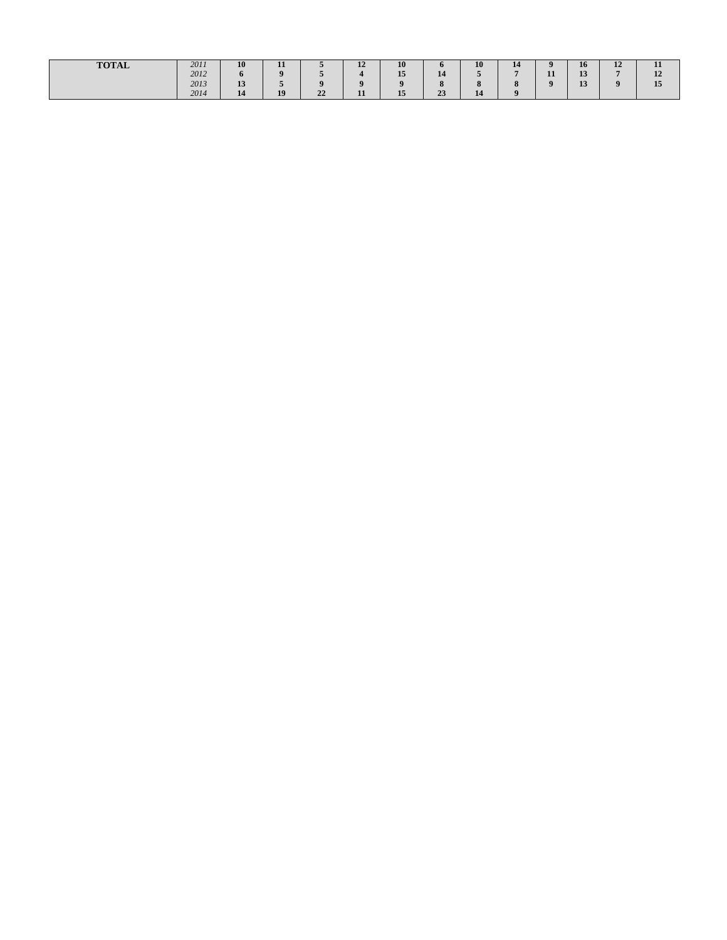| <b>TOTAL</b> | 2011 | 10                       |    |          | 12 | 10 |                         | 10        | 14                    | $\Omega$ | 16                   | 12 | $\mathbf{H}$          |
|--------------|------|--------------------------|----|----------|----|----|-------------------------|-----------|-----------------------|----------|----------------------|----|-----------------------|
|              | 2012 | $\mathbf n$              | o  |          |    | 15 | 14                      |           |                       | 11<br>   | $\mathbf{A}$<br>10   |    | 12<br>14              |
|              | 2013 | $\sim$<br>$\overline{1}$ |    | $\Omega$ |    |    | $\Omega$<br>$\mathbf o$ | $\bullet$ | $\sim$<br>$\mathbf o$ | $\Omega$ | $\blacksquare$<br>-- |    | 1 <sub>c</sub><br>-15 |
|              | 2014 | 14                       | 19 | 22       | 11 | 15 | 23                      | 14        |                       |          |                      |    |                       |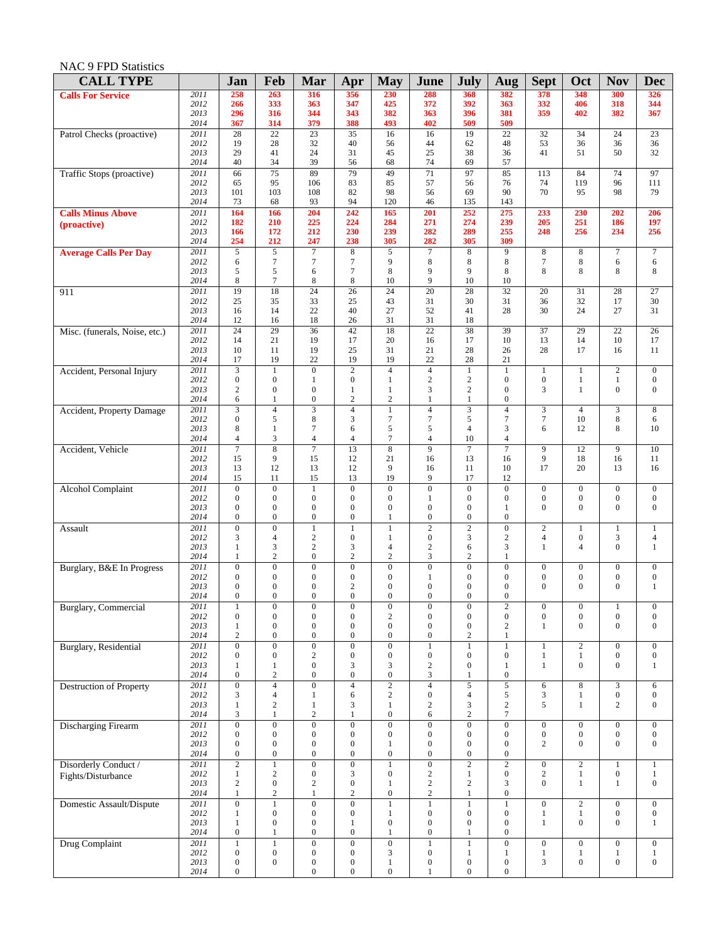### NAC 9 FPD Statistics

| <b>CALL TYPE</b>               |              | Jan                                         | Feb                                  | Mar                                  | Apr                                  | <b>May</b>                           | June                                 | <b>July</b>                          | Aug                                         | <b>Sept</b>                          | Oct                                  | <b>Nov</b>                           | <b>Dec</b>                           |
|--------------------------------|--------------|---------------------------------------------|--------------------------------------|--------------------------------------|--------------------------------------|--------------------------------------|--------------------------------------|--------------------------------------|---------------------------------------------|--------------------------------------|--------------------------------------|--------------------------------------|--------------------------------------|
| <b>Calls For Service</b>       | 2011         | 258                                         | 263                                  | 316                                  | 356                                  | 230                                  | 288                                  | 368                                  | 382                                         | 378                                  | 348                                  | 300                                  | 326                                  |
|                                | 2012<br>2013 | 266<br>296                                  | 333<br>316                           | 363<br>344                           | 347<br>343                           | 425<br>382                           | 372<br>363                           | 392<br>396                           | 363<br>381                                  | 332<br>359                           | 406<br>402                           | 318<br>382                           | 344<br>367                           |
|                                | 2014         | 367                                         | 314                                  | 379                                  | 388                                  | 493                                  | 402                                  | 509                                  | 509                                         |                                      |                                      |                                      |                                      |
| Patrol Checks (proactive)      | 2011         | 28                                          | $\overline{22}$                      | $\overline{23}$                      | 35                                   | 16                                   | 16                                   | 19                                   | $\overline{22}$                             | 32                                   | 34                                   | 24                                   | $\overline{23}$                      |
|                                | 2012<br>2013 | 19<br>29                                    | 28<br>41                             | 32<br>24                             | 40<br>31                             | 56<br>45                             | 44<br>25                             | 62<br>38                             | 48<br>36                                    | 53<br>41                             | 36<br>51                             | 36<br>50                             | 36<br>32                             |
|                                | 2014         | 40                                          | 34                                   | 39                                   | 56                                   | 68                                   | 74                                   | 69                                   | 57                                          |                                      |                                      |                                      |                                      |
| Traffic Stops (proactive)      | 2011         | 66                                          | 75                                   | 89                                   | 79                                   | 49                                   | 71                                   | 97                                   | 85                                          | 113                                  | 84                                   | 74                                   | 97                                   |
|                                | 2012<br>2013 | 65<br>101                                   | 95<br>103                            | 106<br>108                           | 83<br>82                             | 85<br>98                             | 57<br>56                             | 56<br>69                             | 76<br>90                                    | 74<br>70                             | 119<br>95                            | 96<br>98                             | 111<br>79                            |
|                                | 2014         | 73                                          | 68                                   | 93                                   | 94                                   | 120                                  | 46                                   | 135                                  | 143                                         |                                      |                                      |                                      |                                      |
| <b>Calls Minus Above</b>       | 2011<br>2012 | 164<br>182                                  | 166<br>210                           | 204<br>225                           | 242<br>224                           | 165<br>284                           | 201<br>271                           | 252<br>274                           | 275<br>239                                  | 233<br>205                           | 230<br>251                           | 202<br>186                           | 206<br>197                           |
| (proactive)                    | 2013         | 166                                         | 172                                  | 212                                  | 230                                  | 239                                  | 282                                  | 289                                  | 255                                         | 248                                  | 256                                  | 234                                  | 256                                  |
|                                | 2014         | 254                                         | 212                                  | 247                                  | 238                                  | 305                                  | 282                                  | 305                                  | 309                                         |                                      |                                      |                                      |                                      |
| <b>Average Calls Per Day</b>   | 2011<br>2012 | 5<br>6                                      | $\overline{5}$<br>$\boldsymbol{7}$   | $\overline{7}$<br>7                  | $\sqrt{8}$<br>$\tau$                 | $\overline{5}$<br>9                  | $\overline{7}$<br>8                  | $\overline{8}$<br>8                  | $\overline{9}$<br>$\,$ 8 $\,$               | $\overline{\bf 8}$<br>$\tau$         | $\overline{\bf 8}$<br>8              | $\tau$<br>6                          | $\overline{7}$<br>6                  |
|                                | 2013         | 5                                           | 5                                    | 6                                    | $\tau$                               | 8                                    | 9                                    | 9                                    | $\,$ 8 $\,$                                 | 8                                    | 8                                    | 8                                    | 8                                    |
|                                | 2014         | 8                                           | $\tau$                               | 8                                    | 8                                    | 10                                   | 9                                    | 10                                   | 10                                          |                                      |                                      |                                      |                                      |
| 911                            | 2011<br>2012 | 19<br>25                                    | $\overline{18}$<br>35                | $\overline{24}$<br>33                | $\overline{26}$<br>25                | $\overline{24}$<br>43                | $\overline{20}$<br>31                | 28<br>30                             | $\overline{32}$<br>31                       | 20<br>36                             | 31<br>32                             | 28<br>17                             | $\overline{27}$<br>30                |
|                                | 2013         | 16                                          | 14                                   | 22                                   | 40                                   | 27                                   | 52                                   | 41                                   | 28                                          | 30                                   | 24                                   | 27                                   | 31                                   |
|                                | 2014         | 12                                          | 16                                   | 18                                   | 26                                   | 31                                   | 31                                   | 18                                   |                                             |                                      |                                      |                                      |                                      |
| Misc. (funerals, Noise, etc.)  | 2011<br>2012 | 24<br>14                                    | 29<br>21                             | 36<br>19                             | 42<br>17                             | 18<br>20                             | $\overline{22}$<br>16                | 38<br>17                             | 39<br>10                                    | 37<br>13                             | 29<br>14                             | $\overline{22}$<br>10                | 26<br>17                             |
|                                | 2013         | 10                                          | 11                                   | 19                                   | 25                                   | 31                                   | 21                                   | 28                                   | 26                                          | 28                                   | 17                                   | 16                                   | 11                                   |
|                                | 2014         | 17                                          | 19                                   | 22                                   | 19                                   | 19                                   | 22                                   | 28                                   | 21                                          |                                      |                                      |                                      |                                      |
| Accident, Personal Injury      | 2011<br>2012 | 3<br>$\boldsymbol{0}$                       | $\mathbf{1}$<br>$\boldsymbol{0}$     | $\boldsymbol{0}$<br>$\mathbf{1}$     | $\overline{c}$<br>$\boldsymbol{0}$   | $\overline{4}$<br>1                  | $\overline{4}$<br>$\sqrt{2}$         | 1<br>$\sqrt{2}$                      | $\mathbf{1}$<br>$\boldsymbol{0}$            | $\mathbf{1}$<br>$\boldsymbol{0}$     | $\mathbf{1}$<br>$\mathbf{1}$         | $\overline{c}$<br>$\mathbf{1}$       | $\mathbf{0}$<br>$\mathbf{0}$         |
|                                | 2013         | $\mathbf{2}$                                | $\boldsymbol{0}$                     | $\boldsymbol{0}$                     | 1                                    | 1                                    | 3                                    | $\mathfrak{2}$                       | $\boldsymbol{0}$                            | 3                                    | $\mathbf{1}$                         | $\overline{0}$                       | $\mathbf{0}$                         |
|                                | 2014         | 6                                           | $\mathbf{1}$                         | $\overline{0}$                       | $\overline{2}$                       | $\mathbf{2}$                         | $\mathbf{1}$                         | $\mathbf{1}$                         | $\boldsymbol{0}$                            |                                      |                                      |                                      |                                      |
| Accident, Property Damage      | 2011<br>2012 | $\overline{\mathbf{3}}$<br>$\boldsymbol{0}$ | $\overline{4}$<br>5                  | $\overline{\mathbf{3}}$<br>8         | $\overline{4}$<br>3                  | $\mathbf{1}$<br>$\boldsymbol{7}$     | $\overline{4}$<br>$\tau$             | $\overline{\mathbf{3}}$<br>5         | $\overline{4}$<br>$\tau$                    | $\mathfrak{Z}$<br>$\tau$             | $\overline{4}$<br>10                 | 3<br>8                               | 8<br>6                               |
|                                | 2013         | 8                                           | $\mathbf{1}$                         | 7                                    | 6                                    | $\sqrt{5}$                           | 5                                    | $\overline{4}$                       | 3                                           | 6                                    | 12                                   | 8                                    | 10                                   |
|                                | 2014         | $\overline{4}$                              | $\mathfrak{Z}$                       | $\overline{4}$                       | $\overline{4}$                       | $\tau$                               | $\overline{4}$                       | 10                                   | $\overline{4}$                              |                                      |                                      |                                      |                                      |
| Accident, Vehicle              | 2011<br>2012 | $\overline{7}$<br>15                        | $\overline{8}$<br>9                  | $\overline{7}$<br>15                 | 13<br>12                             | $\,8\,$<br>21                        | $\mathbf{Q}$<br>16                   | $\overline{7}$<br>13                 | $\boldsymbol{7}$<br>16                      | 9<br>9                               | 12<br>18                             | 9<br>16                              | 10<br>11                             |
|                                | 2013         | 13                                          | 12                                   | 13                                   | 12                                   | 9                                    | 16                                   | 11                                   | 10                                          | 17                                   | 20                                   | 13                                   | 16                                   |
|                                | 2014         | 15                                          | 11                                   | 15                                   | 13                                   | 19                                   | 9                                    | 17                                   | 12                                          |                                      |                                      |                                      |                                      |
| <b>Alcohol Complaint</b>       | 2011<br>2012 | $\overline{0}$<br>$\boldsymbol{0}$          | $\overline{0}$<br>$\boldsymbol{0}$   | $\mathbf{1}$<br>$\mathbf{0}$         | $\boldsymbol{0}$<br>$\boldsymbol{0}$ | $\overline{0}$<br>$\mathbf{0}$       | $\mathbf{0}$<br>$\mathbf{1}$         | $\boldsymbol{0}$<br>$\boldsymbol{0}$ | $\boldsymbol{0}$<br>$\boldsymbol{0}$        | $\boldsymbol{0}$<br>$\boldsymbol{0}$ | $\boldsymbol{0}$<br>$\boldsymbol{0}$ | $\mathbf{0}$<br>$\boldsymbol{0}$     | $\mathbf{0}$<br>$\mathbf{0}$         |
|                                | 2013         | $\boldsymbol{0}$                            | $\mathbf{0}$                         | $\mathbf{0}$                         | $\boldsymbol{0}$                     | $\mathbf{0}$                         | $\mathbf{0}$                         | $\boldsymbol{0}$                     | $\mathbf{1}$                                | $\mathbf{0}$                         | $\mathbf{0}$                         | $\overline{0}$                       | $\overline{0}$                       |
|                                | 2014         | $\boldsymbol{0}$                            | $\boldsymbol{0}$                     | $\overline{0}$                       | $\boldsymbol{0}$                     | $\mathbf{1}$                         | $\boldsymbol{0}$                     | $\boldsymbol{0}$                     | $\boldsymbol{0}$                            |                                      |                                      |                                      |                                      |
| Assault                        | 2011<br>2012 | $\boldsymbol{0}$<br>3                       | $\mathbf{0}$<br>$\overline{4}$       | $\mathbf{1}$<br>$\overline{c}$       | $\mathbf{1}$<br>$\boldsymbol{0}$     | $\mathbf{1}$<br>1                    | $\overline{c}$<br>$\boldsymbol{0}$   | $\overline{c}$<br>3                  | $\boldsymbol{0}$<br>$\sqrt{2}$              | $\mathbf{2}$<br>$\overline{4}$       | $\mathbf{1}$<br>$\boldsymbol{0}$     | 1<br>3                               | $\mathbf{1}$<br>4                    |
|                                | 2013         | 1                                           | 3                                    | $\sqrt{2}$                           | $\mathfrak{Z}$                       | $\overline{4}$                       | $\sqrt{2}$                           | 6                                    | 3                                           | $\mathbf{1}$                         | $\overline{4}$                       | $\Omega$                             | $\mathbf{1}$                         |
|                                | 2014         | 1                                           | $\sqrt{2}$                           | $\boldsymbol{0}$                     | $\sqrt{2}$                           | $\boldsymbol{2}$                     | 3                                    | 2                                    | $\mathbf{1}$                                |                                      |                                      |                                      |                                      |
| Burglary, B&E In Progress      | 2011<br>2012 | $\overline{0}$<br>$\boldsymbol{0}$          | $\mathbf{0}$<br>$\boldsymbol{0}$     | $\overline{0}$<br>$\mathbf{0}$       | $\boldsymbol{0}$<br>$\boldsymbol{0}$ | $\mathbf{0}$<br>$\boldsymbol{0}$     | $\mathbf{0}$<br>1                    | $\boldsymbol{0}$<br>$\overline{0}$   | $\boldsymbol{0}$<br>$\boldsymbol{0}$        | $\boldsymbol{0}$<br>$\boldsymbol{0}$ | $\boldsymbol{0}$<br>$\boldsymbol{0}$ | $\boldsymbol{0}$<br>$\mathbf{0}$     | $\mathbf{0}$<br>$\mathbf{0}$         |
|                                | 2013         | $\mathbf{0}$                                | $\boldsymbol{0}$                     | $\mathbf{0}$                         | $\overline{2}$                       | $\boldsymbol{0}$                     | $\mathbf{0}$                         | $\mathbf{0}$                         | $\boldsymbol{0}$                            | $\mathbf{0}$                         | $\mathbf{0}$                         | 0                                    | 1                                    |
|                                | 2014         | $\boldsymbol{0}$                            | $\mathbf{0}$                         | $\mathbf{0}$                         | $\boldsymbol{0}$                     | 0                                    | $\boldsymbol{0}$                     | $\boldsymbol{0}$                     | $\boldsymbol{0}$                            |                                      |                                      |                                      |                                      |
| Burglary, Commercial           | 2011<br>2012 | $\mathbf{1}$<br>$\boldsymbol{0}$            | $\boldsymbol{0}$<br>$\boldsymbol{0}$ | $\boldsymbol{0}$<br>$\boldsymbol{0}$ | $\boldsymbol{0}$<br>$\boldsymbol{0}$ | $\boldsymbol{0}$<br>$\sqrt{2}$       | $\boldsymbol{0}$<br>$\boldsymbol{0}$ | $\boldsymbol{0}$<br>$\boldsymbol{0}$ | $\overline{\mathbf{c}}$<br>$\boldsymbol{0}$ | $\boldsymbol{0}$<br>$\boldsymbol{0}$ | $\boldsymbol{0}$<br>$\boldsymbol{0}$ | $\boldsymbol{0}$                     | $\overline{0}$<br>$\boldsymbol{0}$   |
|                                | 2013         | 1                                           | $\boldsymbol{0}$                     | $\boldsymbol{0}$                     | $\boldsymbol{0}$                     | $\mathbf{0}$                         | $\boldsymbol{0}$                     | $\overline{0}$                       | $\overline{c}$                              | 1                                    | $\mathbf{0}$                         | $\Omega$                             | $\overline{0}$                       |
|                                | 2014         | $\overline{c}$                              | $\boldsymbol{0}$                     | $\boldsymbol{0}$                     | $\boldsymbol{0}$                     | $\boldsymbol{0}$                     | $\boldsymbol{0}$                     | 2                                    | $\mathbf{1}$                                |                                      |                                      |                                      |                                      |
| <b>Burglary</b> , Residential  | 2011<br>2012 | $\boldsymbol{0}$<br>$\boldsymbol{0}$        | $\mathbf{0}$<br>$\boldsymbol{0}$     | $\boldsymbol{0}$<br>$\sqrt{2}$       | $\boldsymbol{0}$<br>$\boldsymbol{0}$ | $\boldsymbol{0}$<br>$\boldsymbol{0}$ | $\mathbf{1}$<br>$\boldsymbol{0}$     | $\mathbf{1}$<br>$\boldsymbol{0}$     | $\,1$<br>$\boldsymbol{0}$                   | $\mathbf{1}$<br>$\mathbf{1}$         | $\sqrt{2}$<br>$\mathbf{1}$           | $\boldsymbol{0}$<br>$\overline{0}$   | $\boldsymbol{0}$<br>$\boldsymbol{0}$ |
|                                | 2013         | 1                                           | $\mathbf{1}$                         | $\boldsymbol{0}$                     | 3                                    | 3                                    | $\sqrt{2}$                           | 0                                    | $\mathbf{1}$                                | $\mathbf{1}$                         | $\boldsymbol{0}$                     | $\overline{0}$                       | $\mathbf{1}$                         |
|                                | 2014         | $\boldsymbol{0}$                            | $\sqrt{2}$                           | $\boldsymbol{0}$                     | $\boldsymbol{0}$                     | $\boldsymbol{0}$                     | 3                                    | 1                                    | $\boldsymbol{0}$                            |                                      |                                      |                                      |                                      |
| <b>Destruction of Property</b> | 2011<br>2012 | $\overline{0}$<br>3                         | $\overline{4}$<br>$\overline{4}$     | $\overline{0}$<br>1                  | $\overline{4}$<br>6                  | $\overline{2}$<br>$\mathbf{2}$       | $\overline{4}$<br>$\boldsymbol{0}$   | 5<br>$\overline{4}$                  | $\sqrt{5}$<br>$\mathfrak s$                 | 6<br>$\mathfrak{Z}$                  | $\bf 8$<br>1                         | 3<br>$\overline{0}$                  | 6<br>$\mathbf{0}$                    |
|                                | 2013         | $\mathbf{1}$                                | $\sqrt{2}$                           | $\mathbf{1}$                         | 3                                    | $\mathbf{1}$                         | $\boldsymbol{2}$                     | 3                                    | $\sqrt{2}$                                  | 5                                    | $\mathbf{1}$                         | $\overline{c}$                       | $\boldsymbol{0}$                     |
|                                | 2014         | 3                                           | $\mathbf{1}$                         | $\mathbf{2}$                         | $\mathbf{1}$                         | $\boldsymbol{0}$                     | 6                                    | $\sqrt{2}$                           | $\boldsymbol{7}$                            |                                      |                                      |                                      |                                      |
| <b>Discharging Firearm</b>     | 2011<br>2012 | $\overline{0}$<br>$\boldsymbol{0}$          | $\overline{0}$<br>$\boldsymbol{0}$   | $\boldsymbol{0}$<br>$\boldsymbol{0}$ | $\overline{0}$<br>$\boldsymbol{0}$   | $\overline{0}$<br>$\boldsymbol{0}$   | $\boldsymbol{0}$<br>$\boldsymbol{0}$ | $\overline{0}$<br>$\boldsymbol{0}$   | $\overline{0}$<br>$\boldsymbol{0}$          | $\boldsymbol{0}$<br>$\boldsymbol{0}$ | $\boldsymbol{0}$<br>$\boldsymbol{0}$ | $\boldsymbol{0}$<br>$\boldsymbol{0}$ | $\overline{0}$<br>$\boldsymbol{0}$   |
|                                | 2013         | $\boldsymbol{0}$                            | $\boldsymbol{0}$                     | $\boldsymbol{0}$                     | $\boldsymbol{0}$                     | 1                                    | $\boldsymbol{0}$                     | $\boldsymbol{0}$                     | $\boldsymbol{0}$                            | 2                                    | $\boldsymbol{0}$                     | $\overline{0}$                       | $\overline{0}$                       |
|                                | 2014         | $\boldsymbol{0}$                            | $\boldsymbol{0}$                     | $\boldsymbol{0}$                     | $\boldsymbol{0}$                     | $\boldsymbol{0}$                     | $\boldsymbol{0}$                     | $\boldsymbol{0}$                     | $\boldsymbol{0}$                            |                                      |                                      |                                      |                                      |
| Disorderly Conduct /           | 2011<br>2012 | $\overline{2}$<br>$\mathbf{1}$              | $\overline{1}$<br>$\sqrt{2}$         | $\overline{0}$<br>$\boldsymbol{0}$   | $\overline{0}$<br>3                  | $\overline{1}$<br>$\mathbf{0}$       | $\overline{0}$<br>$\overline{c}$     | $\overline{c}$<br>1                  | $\overline{2}$<br>$\boldsymbol{0}$          | $\boldsymbol{0}$<br>$\mathbf{2}$     | $\overline{2}$<br>$\mathbf{1}$       | 1<br>$\boldsymbol{0}$                | $\mathbf{1}$<br>$\mathbf{1}$         |
| Fights/Disturbance             | 2013         | $\mathbf{2}$                                | $\boldsymbol{0}$                     | $\boldsymbol{2}$                     | $\boldsymbol{0}$                     | 1                                    | $\sqrt{2}$                           | $\mathbf{2}$                         | 3                                           | $\boldsymbol{0}$                     | $\mathbf{1}$                         | 1                                    | $\boldsymbol{0}$                     |
|                                | 2014         | $\mathbf{1}$                                | $\sqrt{2}$                           | $\mathbf{1}$                         | $\sqrt{2}$                           | $\boldsymbol{0}$                     | $\sqrt{2}$                           | $\mathbf{1}$                         | $\boldsymbol{0}$                            |                                      |                                      |                                      |                                      |
| Domestic Assault/Dispute       | 2011<br>2012 | $\overline{0}$<br>$\mathbf{1}$              | $\mathbf{1}$<br>$\boldsymbol{0}$     | $\overline{0}$<br>$\boldsymbol{0}$   | $\overline{0}$<br>$\boldsymbol{0}$   | $\overline{1}$<br>$\mathbf{1}$       | $\overline{1}$<br>$\boldsymbol{0}$   | $\mathbf{1}$<br>$\boldsymbol{0}$     | $\mathbf{1}$<br>$\boldsymbol{0}$            | $\boldsymbol{0}$<br>$\mathbf{1}$     | $\overline{2}$<br>$\mathbf{1}$       | $\boldsymbol{0}$<br>$\boldsymbol{0}$ | $\overline{0}$<br>$\boldsymbol{0}$   |
|                                | 2013         | 1                                           | $\boldsymbol{0}$                     | $\boldsymbol{0}$                     | 1                                    | $\boldsymbol{0}$                     | $\boldsymbol{0}$                     | $\boldsymbol{0}$                     | $\boldsymbol{0}$                            | $\mathbf{1}$                         | $\boldsymbol{0}$                     | $\overline{0}$                       | $\mathbf{1}$                         |
|                                | 2014         | $\boldsymbol{0}$                            | 1                                    | $\boldsymbol{0}$                     | $\boldsymbol{0}$                     | 1                                    | $\boldsymbol{0}$                     | 1                                    | $\boldsymbol{0}$                            |                                      |                                      |                                      |                                      |
| Drug Complaint                 | 2011<br>2012 | $\mathbf{1}$<br>$\boldsymbol{0}$            | $\mathbf{1}$<br>$\boldsymbol{0}$     | $\overline{0}$<br>$\boldsymbol{0}$   | $\overline{0}$<br>$\boldsymbol{0}$   | $\overline{0}$<br>3                  | $\overline{1}$<br>$\boldsymbol{0}$   | $\mathbf{1}$<br>1                    | $\overline{0}$<br>$\mathbf{1}$              | $\overline{0}$<br>$\mathbf{1}$       | $\overline{0}$<br>$\mathbf{1}$       | $\overline{0}$<br>1                  | $\overline{0}$<br>$\mathbf{1}$       |
|                                | 2013         | $\boldsymbol{0}$                            | $\boldsymbol{0}$                     | $\boldsymbol{0}$                     | $\boldsymbol{0}$                     | $\mathbf{1}$                         | $\boldsymbol{0}$                     | $\boldsymbol{0}$                     | $\boldsymbol{0}$                            | 3                                    | $\boldsymbol{0}$                     | 0                                    | $\boldsymbol{0}$                     |
|                                | 2014         | $\boldsymbol{0}$                            |                                      | $\boldsymbol{0}$                     | $\boldsymbol{0}$                     | $\boldsymbol{0}$                     | 1                                    | $\boldsymbol{0}$                     | $\boldsymbol{0}$                            |                                      |                                      |                                      |                                      |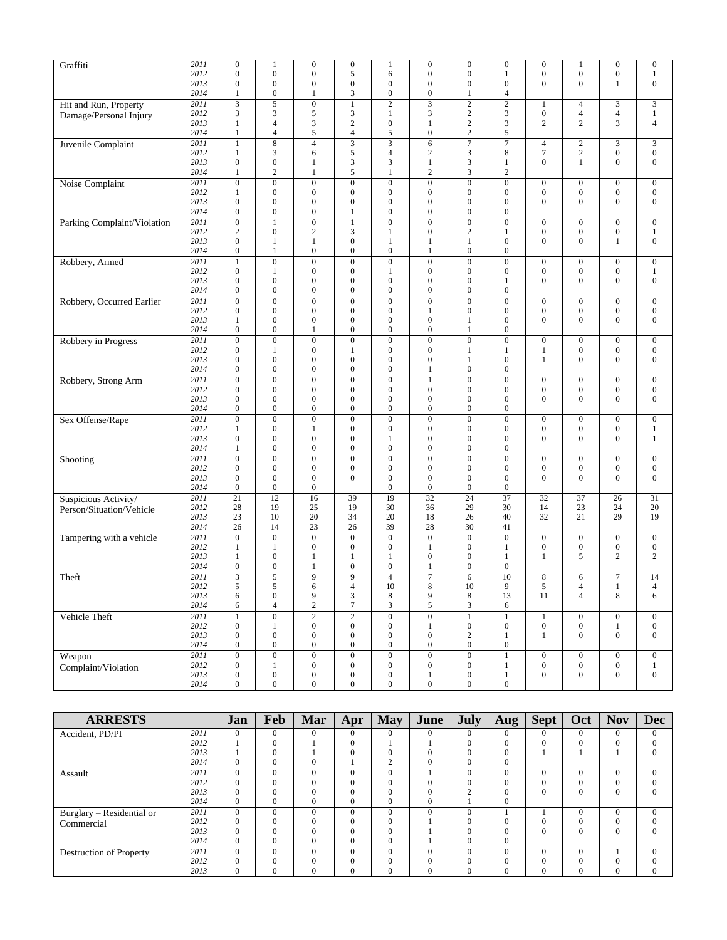| Graffiti                    | 2011         | $\boldsymbol{0}$                     | $\mathbf{1}$                       | $\boldsymbol{0}$                     | $\boldsymbol{0}$                 | $\mathbf{1}$                     | $\boldsymbol{0}$                     | $\boldsymbol{0}$                     | $\boldsymbol{0}$                     | $\boldsymbol{0}$                 | $\mathbf{1}$                       | $\boldsymbol{0}$                 | $\mathbf{0}$                     |
|-----------------------------|--------------|--------------------------------------|------------------------------------|--------------------------------------|----------------------------------|----------------------------------|--------------------------------------|--------------------------------------|--------------------------------------|----------------------------------|------------------------------------|----------------------------------|----------------------------------|
|                             | 2012         | $\boldsymbol{0}$                     | $\boldsymbol{0}$                   | $\boldsymbol{0}$                     | 5                                | 6                                | $\boldsymbol{0}$                     | $\boldsymbol{0}$                     | $\mathbf{1}$                         | $\boldsymbol{0}$                 | $\boldsymbol{0}$                   | $\boldsymbol{0}$                 | $\mathbf{1}$                     |
|                             | 2013         | $\mathbf{0}$                         | $\boldsymbol{0}$                   | $\mathbf{0}$                         | $\boldsymbol{0}$                 | $\boldsymbol{0}$                 | $\mathbf{0}$                         | $\boldsymbol{0}$                     | $\boldsymbol{0}$                     | $\overline{0}$                   | $\mathbf{0}$                       | 1                                | $\boldsymbol{0}$                 |
|                             | 2014         | 1                                    | $\boldsymbol{0}$                   | 1                                    | 3                                | $\boldsymbol{0}$                 | $\boldsymbol{0}$                     | 1                                    | 4                                    |                                  |                                    |                                  |                                  |
| Hit and Run, Property       | 2011<br>2012 | $\overline{\mathbf{3}}$<br>3         | $\overline{5}$<br>3                | $\boldsymbol{0}$<br>5                | $\mathbf{1}$<br>3                | $\overline{2}$<br>$\mathbf{1}$   | $\overline{\mathbf{3}}$              | $\overline{2}$<br>$\sqrt{2}$         | $\overline{2}$<br>3                  | $\mathbf{1}$<br>$\boldsymbol{0}$ | $\overline{4}$<br>4                | 3<br>$\overline{4}$              | 3                                |
| Damage/Personal Injury      | 2013         | 1                                    | $\overline{4}$                     | 3                                    | $\overline{c}$                   | $\mathbf{0}$                     | 3<br>1                               | $\sqrt{2}$                           | 3                                    | $\overline{c}$                   | $\overline{c}$                     | 3                                | $\mathbf{1}$<br>$\overline{4}$   |
|                             | 2014         | $\mathbf{1}$                         | $\overline{4}$                     | 5                                    | 4                                | 5                                | $\boldsymbol{0}$                     | $\sqrt{2}$                           | 5                                    |                                  |                                    |                                  |                                  |
| Juvenile Complaint          | 2011         | $\mathbf{1}$                         | $\,8\,$                            | $\overline{4}$                       | 3                                | 3                                | 6                                    | $\overline{7}$                       | $\overline{7}$                       | $\overline{4}$                   | $\sqrt{2}$                         | 3                                | 3                                |
|                             | 2012         | $\mathbf{1}$                         | 3                                  | 6                                    | 5                                | 4                                | $\boldsymbol{2}$                     | 3                                    | 8                                    | $\tau$                           | $\sqrt{2}$                         | $\boldsymbol{0}$                 | $\boldsymbol{0}$                 |
|                             | 2013         | $\boldsymbol{0}$                     | $\boldsymbol{0}$                   | 1                                    | 3                                | 3                                | $\mathbf{1}$                         | 3                                    | $\mathbf{1}$                         | $\boldsymbol{0}$                 | $\mathbf{1}$                       | $\boldsymbol{0}$                 | $\boldsymbol{0}$                 |
|                             | 2014         | $\mathbf{1}$                         | $\mathbf{2}$                       | 1                                    | 5                                | $\mathbf{1}$                     | 2                                    | 3                                    | $\overline{c}$                       |                                  |                                    |                                  |                                  |
| Noise Complaint             | 2011         | $\boldsymbol{0}$                     | $\boldsymbol{0}$                   | $\boldsymbol{0}$                     | $\overline{0}$                   | $\boldsymbol{0}$                 | $\boldsymbol{0}$                     | $\boldsymbol{0}$                     | $\boldsymbol{0}$                     | $\boldsymbol{0}$                 | $\boldsymbol{0}$                   | $\boldsymbol{0}$                 | $\mathbf{0}$                     |
|                             | 2012         | 1                                    | $\boldsymbol{0}$                   | $\mathbf{0}$                         | $\boldsymbol{0}$                 | $\boldsymbol{0}$                 | $\mathbf{0}$                         | $\boldsymbol{0}$                     | $\boldsymbol{0}$                     | $\boldsymbol{0}$                 | $\boldsymbol{0}$                   | $\boldsymbol{0}$                 | $\boldsymbol{0}$                 |
|                             | 2013         | $\boldsymbol{0}$                     | $\boldsymbol{0}$                   | $\boldsymbol{0}$                     | 0                                | $\boldsymbol{0}$                 | $\mathbf{0}$                         | $\boldsymbol{0}$                     | $\boldsymbol{0}$                     | $\mathbf{0}$                     | $\overline{0}$                     | $\boldsymbol{0}$                 | $\boldsymbol{0}$                 |
|                             | 2014         | $\boldsymbol{0}$                     | $\boldsymbol{0}$                   | $\boldsymbol{0}$                     | 1                                | $\boldsymbol{0}$                 | $\boldsymbol{0}$                     | $\boldsymbol{0}$                     | $\boldsymbol{0}$                     |                                  |                                    |                                  |                                  |
| Parking Complaint/Violation | 2011         | $\overline{0}$                       | $\mathbf{1}$                       | $\boldsymbol{0}$                     | $\mathbf{1}$                     | $\overline{0}$                   | $\boldsymbol{0}$                     | $\overline{0}$                       | $\overline{0}$                       | $\boldsymbol{0}$                 | $\boldsymbol{0}$                   | $\boldsymbol{0}$                 | $\boldsymbol{0}$                 |
|                             | 2012         | $\mathbf{2}$                         | $\mathbf{0}$                       | $\overline{c}$                       | 3                                | 1                                | $\mathbf{0}$                         | $\overline{c}$                       | 1                                    | $\boldsymbol{0}$                 | $\boldsymbol{0}$                   | $\boldsymbol{0}$                 | $\mathbf{1}$                     |
|                             | 2013         | $\boldsymbol{0}$                     | $\mathbf{1}$                       | $\mathbf{1}$                         | $\boldsymbol{0}$                 | $\mathbf{1}$                     | $\mathbf{1}$                         | $\mathbf{1}$                         | $\boldsymbol{0}$                     | $\overline{0}$                   | $\mathbf{0}$                       | $\mathbf{1}$                     | $\boldsymbol{0}$                 |
|                             | 2014         | $\boldsymbol{0}$                     | $\mathbf{1}$                       | $\boldsymbol{0}$                     | $\overline{0}$                   | $\boldsymbol{0}$                 | 1                                    | $\boldsymbol{0}$                     | $\boldsymbol{0}$                     |                                  |                                    |                                  |                                  |
| Robbery, Armed              | 2011         | $\mathbf{1}$                         | $\overline{0}$                     | $\boldsymbol{0}$                     | $\boldsymbol{0}$                 | $\boldsymbol{0}$                 | $\boldsymbol{0}$                     | $\overline{0}$                       | $\overline{0}$                       | $\boldsymbol{0}$                 | $\boldsymbol{0}$                   | $\overline{0}$                   | $\boldsymbol{0}$                 |
|                             | 2012         | $\boldsymbol{0}$                     | $\mathbf{1}$<br>$\boldsymbol{0}$   | $\mathbf{0}$                         | 0                                | $\mathbf{1}$<br>$\boldsymbol{0}$ | $\mathbf{0}$                         | $\boldsymbol{0}$                     | $\boldsymbol{0}$                     | $\boldsymbol{0}$<br>$\mathbf{0}$ | $\boldsymbol{0}$<br>$\overline{0}$ | $\boldsymbol{0}$<br>$\mathbf{0}$ | $\mathbf{1}$<br>$\boldsymbol{0}$ |
|                             | 2013<br>2014 | $\boldsymbol{0}$<br>$\boldsymbol{0}$ | $\boldsymbol{0}$                   | $\boldsymbol{0}$<br>$\boldsymbol{0}$ | 0<br>0                           | $\boldsymbol{0}$                 | $\boldsymbol{0}$<br>$\boldsymbol{0}$ | $\boldsymbol{0}$<br>$\boldsymbol{0}$ | $\mathbf{1}$<br>$\boldsymbol{0}$     |                                  |                                    |                                  |                                  |
| Robbery, Occurred Earlier   | 2011         | $\overline{0}$                       | $\overline{0}$                     | $\boldsymbol{0}$                     | $\boldsymbol{0}$                 | $\overline{0}$                   | $\boldsymbol{0}$                     | $\overline{0}$                       | $\overline{0}$                       | $\boldsymbol{0}$                 | $\boldsymbol{0}$                   | $\boldsymbol{0}$                 | $\boldsymbol{0}$                 |
|                             | 2012         | $\boldsymbol{0}$                     | $\boldsymbol{0}$                   | $\boldsymbol{0}$                     | 0                                | $\boldsymbol{0}$                 | 1                                    | $\boldsymbol{0}$                     | $\boldsymbol{0}$                     | $\boldsymbol{0}$                 | $\boldsymbol{0}$                   | $\boldsymbol{0}$                 | $\boldsymbol{0}$                 |
|                             | 2013         | $\mathbf{1}$                         | $\boldsymbol{0}$                   | $\boldsymbol{0}$                     | $\bf{0}$                         | $\boldsymbol{0}$                 | $\mathbf{0}$                         | $\mathbf{1}$                         | $\boldsymbol{0}$                     | $\overline{0}$                   | $\mathbf{0}$                       | $\mathbf{0}$                     | $\boldsymbol{0}$                 |
|                             | 2014         | $\boldsymbol{0}$                     | $\boldsymbol{0}$                   | 1                                    | 0                                | $\boldsymbol{0}$                 | $\boldsymbol{0}$                     | 1                                    | $\boldsymbol{0}$                     |                                  |                                    |                                  |                                  |
| Robbery in Progress         | 2011         | $\overline{0}$                       | $\overline{0}$                     | $\boldsymbol{0}$                     | $\boldsymbol{0}$                 | $\overline{0}$                   | $\boldsymbol{0}$                     | $\overline{0}$                       | $\overline{0}$                       | $\boldsymbol{0}$                 | $\mathbf{0}$                       | $\overline{0}$                   | $\mathbf{0}$                     |
|                             | 2012         | $\boldsymbol{0}$                     | $\mathbf{1}$                       | $\mathbf{0}$                         | $\mathbf{1}$                     | $\boldsymbol{0}$                 | $\mathbf{0}$                         | $\mathbf{1}$                         | $\mathbf{1}$                         | $\mathbf{1}$                     | $\boldsymbol{0}$                   | $\boldsymbol{0}$                 | $\boldsymbol{0}$                 |
|                             | 2013         | $\overline{0}$                       | $\mathbf{0}$                       | $\mathbf{0}$                         | $\overline{0}$                   | $\boldsymbol{0}$                 | $\mathbf{0}$                         | 1                                    | $\boldsymbol{0}$                     | 1                                | $\mathbf{0}$                       | $\mathbf{0}$                     | $\boldsymbol{0}$                 |
|                             | 2014         | $\boldsymbol{0}$                     | $\boldsymbol{0}$                   | $\boldsymbol{0}$                     | 0                                | $\boldsymbol{0}$                 | 1                                    | $\boldsymbol{0}$                     | $\boldsymbol{0}$                     |                                  |                                    |                                  |                                  |
| Robbery, Strong Arm         | 2011         | $\boldsymbol{0}$                     | $\boldsymbol{0}$                   | $\boldsymbol{0}$                     | $\boldsymbol{0}$                 | $\mathbf{0}$                     | $\mathbf{1}$                         | $\boldsymbol{0}$                     | $\boldsymbol{0}$                     | $\boldsymbol{0}$                 | $\boldsymbol{0}$                   | $\boldsymbol{0}$                 | $\boldsymbol{0}$                 |
|                             | 2012         | $\boldsymbol{0}$                     | $\boldsymbol{0}$                   | $\mathbf{0}$                         | $\overline{0}$                   | 0                                | $\boldsymbol{0}$                     | $\boldsymbol{0}$                     | $\boldsymbol{0}$                     | $\boldsymbol{0}$                 | $\boldsymbol{0}$                   | $\boldsymbol{0}$                 | $\boldsymbol{0}$                 |
|                             | 2013         | $\overline{0}$                       | $\mathbf{0}$                       | $\mathbf{0}$                         | $\overline{0}$                   | $\boldsymbol{0}$                 | $\mathbf{0}$                         | $\overline{0}$                       | $\boldsymbol{0}$                     | $\overline{0}$                   | $\mathbf{0}$                       | $\boldsymbol{0}$                 | $\boldsymbol{0}$                 |
|                             | 2014         | $\boldsymbol{0}$                     | $\mathbf{0}$                       | $\boldsymbol{0}$                     | 0                                | 0                                | $\boldsymbol{0}$                     | $\boldsymbol{0}$                     | $\boldsymbol{0}$                     |                                  |                                    |                                  |                                  |
| Sex Offense/Rape            | 2011         | $\overline{0}$                       | $\overline{0}$                     | $\boldsymbol{0}$                     | $\boldsymbol{0}$                 | $\boldsymbol{0}$                 | $\boldsymbol{0}$                     | $\overline{0}$                       | $\overline{0}$                       | $\boldsymbol{0}$                 | $\mathbf{0}$                       | $\overline{0}$                   | $\mathbf{0}$                     |
|                             | 2012         | $\mathbf{1}$<br>$\mathbf{0}$         | $\boldsymbol{0}$<br>$\mathbf{0}$   | 1<br>$\mathbf{0}$                    | $\overline{0}$<br>$\overline{0}$ | $\boldsymbol{0}$                 | $\boldsymbol{0}$                     | $\boldsymbol{0}$<br>$\overline{0}$   | $\boldsymbol{0}$<br>$\boldsymbol{0}$ | $\boldsymbol{0}$<br>$\theta$     | $\boldsymbol{0}$<br>$\mathbf{0}$   | $\boldsymbol{0}$<br>$\mathbf{0}$ | $\mathbf{1}$                     |
|                             | 2013<br>2014 | $\mathbf{1}$                         | $\boldsymbol{0}$                   | $\boldsymbol{0}$                     | $\overline{0}$                   | 1<br>$\boldsymbol{0}$            | $\mathbf{0}$<br>$\boldsymbol{0}$     | $\boldsymbol{0}$                     | $\boldsymbol{0}$                     |                                  |                                    |                                  | $\mathbf{1}$                     |
| Shooting                    | 2011         | $\boldsymbol{0}$                     | $\boldsymbol{0}$                   | $\boldsymbol{0}$                     | $\boldsymbol{0}$                 | $\boldsymbol{0}$                 | $\mathbf{0}$                         | $\overline{0}$                       | $\boldsymbol{0}$                     | $\boldsymbol{0}$                 | $\boldsymbol{0}$                   | $\boldsymbol{0}$                 | $\boldsymbol{0}$                 |
|                             | 2012         | $\mathbf{0}$                         | $\boldsymbol{0}$                   | $\mathbf{0}$                         | 0                                | $\boldsymbol{0}$                 | $\mathbf{0}$                         | $\boldsymbol{0}$                     | $\boldsymbol{0}$                     | $\boldsymbol{0}$                 | $\boldsymbol{0}$                   | $\boldsymbol{0}$                 | $\boldsymbol{0}$                 |
|                             | 2013         | $\mathbf{0}$                         | $\boldsymbol{0}$                   | $\mathbf{0}$                         | $\overline{0}$                   | $\boldsymbol{0}$                 | $\mathbf{0}$                         | $\boldsymbol{0}$                     | $\boldsymbol{0}$                     | $\overline{0}$                   | $\mathbf{0}$                       | $\mathbf{0}$                     | $\boldsymbol{0}$                 |
|                             | 2014         | $\boldsymbol{0}$                     | $\boldsymbol{0}$                   | $\boldsymbol{0}$                     |                                  | $\boldsymbol{0}$                 | $\mathbf{0}$                         | $\overline{0}$                       | $\boldsymbol{0}$                     |                                  |                                    |                                  |                                  |
| Suspicious Activity/        | 2011         | 21                                   | 12                                 | 16                                   | 39                               | 19                               | 32                                   | 24                                   | 37                                   | 32                               | 37                                 | 26                               | 31                               |
| Person/Situation/Vehicle    | 2012         | 28                                   | 19                                 | 25                                   | 19                               | 30                               | 36                                   | 29                                   | 30                                   | 14                               | 23                                 | 24                               | 20                               |
|                             | 2013         | 23                                   | 10                                 | 20                                   | 34                               | 20                               | 18                                   | 26                                   | 40                                   | 32                               | 21                                 | 29                               | 19                               |
|                             | 2014         | 26                                   | 14                                 | 23                                   | 26                               | 39                               | 28                                   | 30                                   | 41                                   |                                  |                                    |                                  |                                  |
| Tampering with a vehicle    | 2011         | $\overline{0}$                       | $\boldsymbol{0}$                   | $\boldsymbol{0}$                     | $\overline{0}$                   | $\boldsymbol{0}$                 | $\boldsymbol{0}$                     | $\overline{0}$                       | $\boldsymbol{0}$                     | $\boldsymbol{0}$                 | $\boldsymbol{0}$                   | $\boldsymbol{0}$                 | $\boldsymbol{0}$                 |
|                             | 2012         | 1                                    | 1                                  | $\boldsymbol{0}$                     | 0                                | $\boldsymbol{0}$                 | 1                                    | $\boldsymbol{0}$                     | 1                                    | $\boldsymbol{0}$                 | $\boldsymbol{0}$                   | $\boldsymbol{0}$                 | $\boldsymbol{0}$                 |
|                             | 2013         | $\mathbf{1}$                         | $\boldsymbol{0}$                   | 1                                    | 1                                | $\mathbf{1}$                     | $\boldsymbol{0}$                     | $\boldsymbol{0}$                     | $\mathbf{1}$                         | $\mathbf{1}$                     | 5                                  | $\overline{c}$                   | $\overline{c}$                   |
|                             | 2014         | $\boldsymbol{0}$                     | $\boldsymbol{0}$                   | 1                                    | 0                                | $\boldsymbol{0}$                 | 1                                    | $\boldsymbol{0}$                     | $\boldsymbol{0}$                     |                                  |                                    |                                  |                                  |
| Theft                       | 2011         | 3                                    | 5                                  | 9                                    | 9                                | $\overline{4}$                   | $\overline{\mathcal{I}}$             | 6                                    | 10                                   | 8                                | 6                                  | $\boldsymbol{7}$                 | 14                               |
|                             | 2012         | 5                                    | 5                                  | 6                                    | $\overline{4}$                   | 10                               | 8                                    | 10                                   | 9                                    | 5                                | 4                                  | 1                                | $\overline{4}$                   |
|                             | 2013<br>2014 | 6<br>6                               | $\boldsymbol{0}$<br>$\overline{4}$ | 9<br>$\overline{c}$                  | 3<br>$\tau$                      | $\,8\,$<br>$\sqrt{3}$            | 9<br>5                               | 8<br>3                               | 13<br>6                              | 11                               | $\overline{4}$                     | $\,8\,$                          | 6                                |
|                             | 2011         | $\overline{1}$                       | $\overline{0}$                     | $\overline{2}$                       | $\overline{2}$                   | $\overline{0}$                   | $\overline{0}$                       | $\overline{1}$                       | $\overline{1}$                       | $\overline{1}$                   | $\overline{0}$                     | $\overline{0}$                   | $\overline{0}$                   |
| Vehicle Theft               | 2012         | $\boldsymbol{0}$                     | $\mathbf{1}$                       | $\boldsymbol{0}$                     | $\boldsymbol{0}$                 | $\mathbf{0}$                     | $\mathbf{1}$                         | $\boldsymbol{0}$                     | $\boldsymbol{0}$                     | $\boldsymbol{0}$                 | $\boldsymbol{0}$                   | $\mathbf{1}$                     | $\boldsymbol{0}$                 |
|                             | 2013         | $\boldsymbol{0}$                     | $\boldsymbol{0}$                   | $\boldsymbol{0}$                     | $\boldsymbol{0}$                 | $\boldsymbol{0}$                 | $\boldsymbol{0}$                     | $\boldsymbol{2}$                     | $\mathbf{1}$                         | $\mathbf{1}$                     | $\boldsymbol{0}$                   | $\boldsymbol{0}$                 | $\mathbf{0}$                     |
|                             | 2014         | $\boldsymbol{0}$                     | $\boldsymbol{0}$                   | $\boldsymbol{0}$                     | $\boldsymbol{0}$                 | $\boldsymbol{0}$                 | $\boldsymbol{0}$                     | $\boldsymbol{0}$                     | $\boldsymbol{0}$                     |                                  |                                    |                                  |                                  |
| Weapon                      | 2011         | $\overline{0}$                       | $\boldsymbol{0}$                   | $\overline{0}$                       | $\overline{0}$                   | $\mathbf{0}$                     | $\overline{0}$                       | $\overline{0}$                       | $\mathbf 1$                          | $\boldsymbol{0}$                 | $\mathbf{0}$                       | $\boldsymbol{0}$                 | $\mathbf{0}$                     |
| Complaint/Violation         | 2012         | $\boldsymbol{0}$                     | $\mathbf{1}$                       | $\boldsymbol{0}$                     | $\boldsymbol{0}$                 | $\boldsymbol{0}$                 | $\boldsymbol{0}$                     | $\boldsymbol{0}$                     | $\mathbf{1}$                         | $\boldsymbol{0}$                 | $\boldsymbol{0}$                   | $\boldsymbol{0}$                 | $\mathbf{1}$                     |
|                             | 2013         | $\boldsymbol{0}$                     | $\boldsymbol{0}$                   | $\boldsymbol{0}$                     | $\boldsymbol{0}$                 | $\boldsymbol{0}$                 | $\mathbf{1}$                         | $\boldsymbol{0}$                     | $\mathbf{1}$                         | $\boldsymbol{0}$                 | $\boldsymbol{0}$                   | $\boldsymbol{0}$                 | $\mathbf{0}$                     |
|                             | 2014         | $\boldsymbol{0}$                     | $\boldsymbol{0}$                   | $\boldsymbol{0}$                     | $\mathbf{0}$                     | $\mathbf{0}$                     | $\mathbf{0}$                         | $\overline{0}$                       | $\boldsymbol{0}$                     |                                  |                                    |                                  |                                  |

| <b>ARRESTS</b>            |      | Jan            | Feb            | Mar      | Apr      | <b>May</b>   | June     | July         | Aug          | <b>Sept</b> | Oct      | <b>Nov</b> | <b>Dec</b> |
|---------------------------|------|----------------|----------------|----------|----------|--------------|----------|--------------|--------------|-------------|----------|------------|------------|
| Accident, PD/PI           | 2011 | $\Omega$       | $\Omega$       | $\Omega$ | 0        | $\Omega$     | $\Omega$ | $\mathbf{0}$ | $\Omega$     | 0           | $\Omega$ | $\Omega$   | $\Omega$   |
|                           | 2012 |                | $\Omega$       |          | 0        |              |          | 0            | $\Omega$     |             | $\Omega$ | 0          |            |
|                           | 2013 |                | $\Omega$       |          | 0        | 0            |          | 0            | $\Omega$     |             |          |            |            |
|                           | 2014 | $\overline{0}$ | $\overline{0}$ |          |          | $\sim$       | 0        | 0            | $\mathbf{0}$ |             |          |            |            |
| Assault                   | 2011 | $\Omega$       | $\Omega$       | $\Omega$ | $\Omega$ | $\Omega$     |          | $\Omega$     | $\Omega$     | $\theta$    | $\Omega$ | $\Omega$   | $\Omega$   |
|                           | 2012 | $\Omega$       | $\Omega$       |          | $^{(1)}$ | $\Omega$     |          | $\Omega$     | $\Omega$     |             | $\Omega$ | 0          |            |
|                           | 2013 | $\Omega$       | $\Omega$       |          |          | $\Omega$     |          | $\sim$       | $\Omega$     |             | $\Omega$ | $\Omega$   |            |
|                           | 2014 | $\overline{0}$ | $\mathbf{0}$   |          | 0        | 0            | $\Omega$ |              | $\mathbf{0}$ |             |          |            |            |
| Burglary - Residential or | 2011 | $\mathbf{0}$   | $\mathbf{0}$   | $\Omega$ | 0        | $\Omega$     | $\Omega$ | $\mathbf{0}$ |              |             | $\Omega$ | $\Omega$   | $\Omega$   |
| Commercial                | 2012 | $\Omega$       | $\Omega$       |          | $^{(1)}$ | $\Omega$     |          | $\Omega$     | $\Omega$     |             | $\Omega$ | 0          |            |
|                           | 2013 | $\Omega$       | $\Omega$       |          | $\Omega$ | $\Omega$     |          | $\Omega$     | $\Omega$     |             | $\Omega$ | $\Omega$   |            |
|                           | 2014 | $\mathbf{0}$   | $\overline{0}$ |          | 0        | $\mathbf{0}$ |          | 0            | $\mathbf{0}$ |             |          |            |            |
| Destruction of Property   | 2011 | $\Omega$       | $\Omega$       | $\Omega$ | 0        | $\Omega$     | $\Omega$ | $\Omega$     | $\Omega$     | $\Omega$    | $\Omega$ |            | $\Omega$   |
|                           | 2012 | $\Omega$       | $\Omega$       |          | 0        | $\Omega$     |          | $\Omega$     | $\Omega$     |             | $\Omega$ |            |            |
|                           | 2013 | $\Omega$       | $\Omega$       |          |          | $\Omega$     |          | $\Omega$     | $\theta$     |             | 0        | ∩          |            |